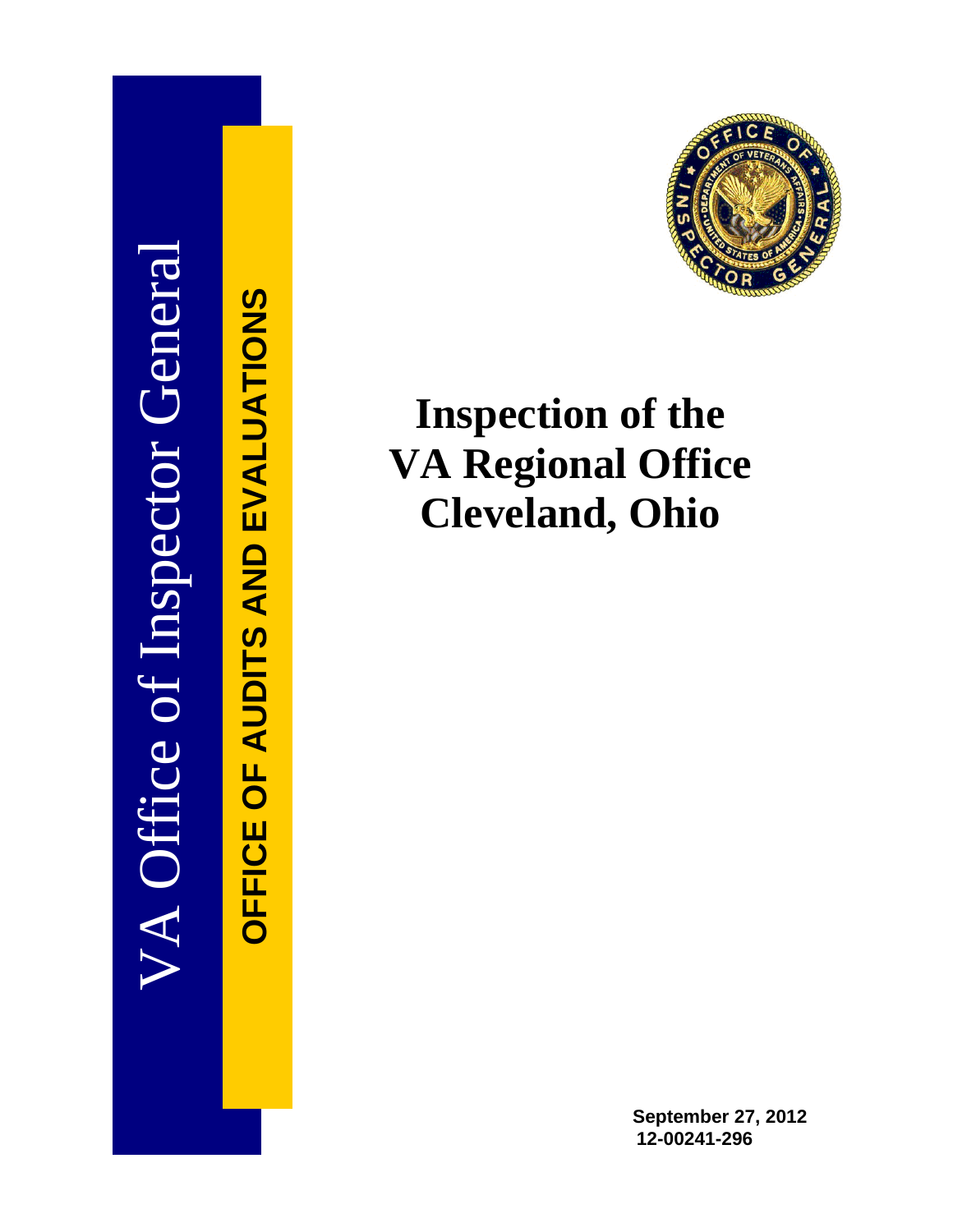

OFFICE OF AUDITS AND EVALUATIONS **OFFICE OF AUDITS AND EVALUATIONS**



# **Inspection of the VA Regional Office Cleveland, Ohio**

**September 27, 2012 12-00241-296**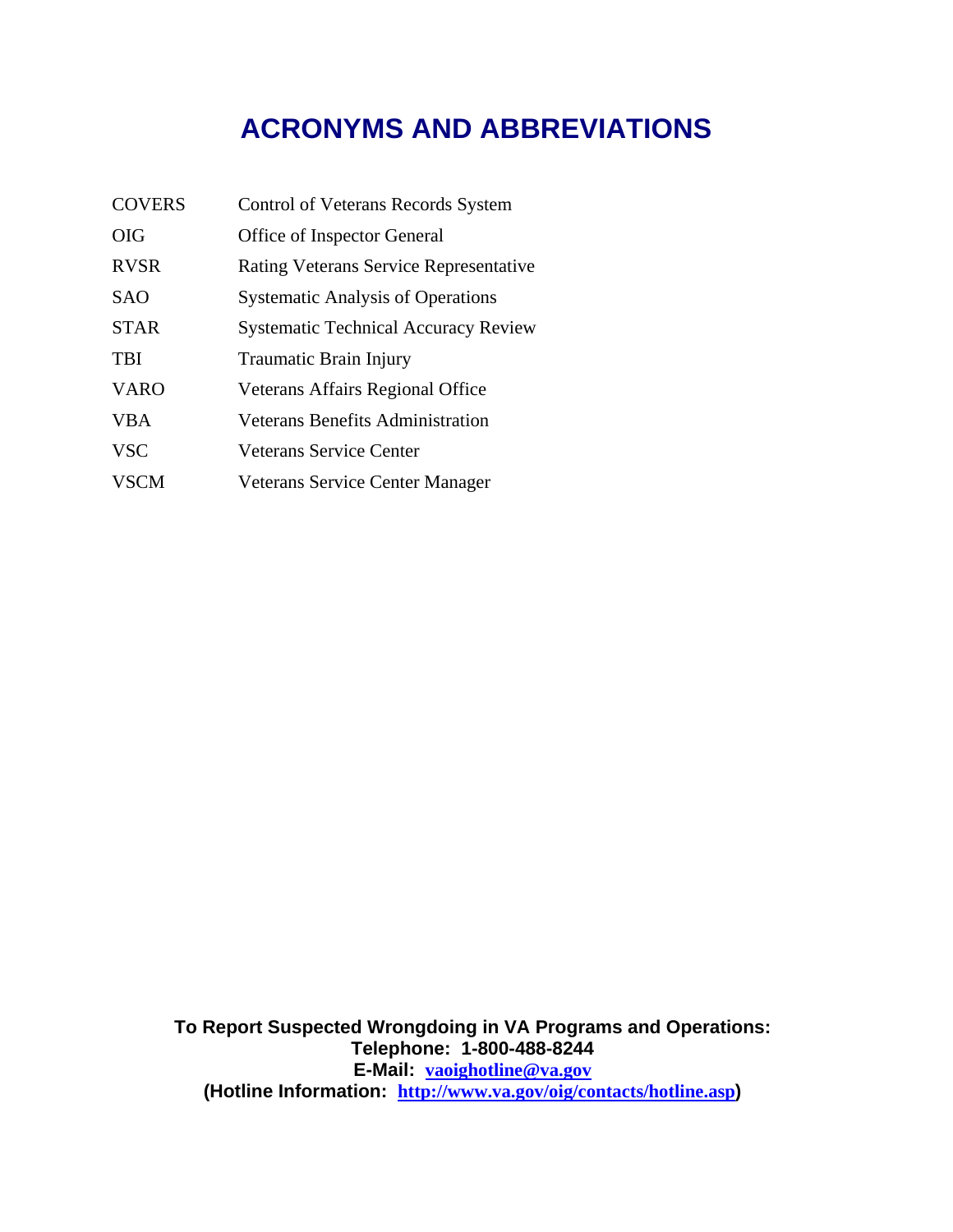## **ACRONYMS AND ABBREVIATIONS**

| <b>COVERS</b> | <b>Control of Veterans Records System</b>     |
|---------------|-----------------------------------------------|
| <b>OIG</b>    | Office of Inspector General                   |
| <b>RVSR</b>   | <b>Rating Veterans Service Representative</b> |
| <b>SAO</b>    | <b>Systematic Analysis of Operations</b>      |
| <b>STAR</b>   | <b>Systematic Technical Accuracy Review</b>   |
| <b>TBI</b>    | Traumatic Brain Injury                        |
| <b>VARO</b>   | Veterans Affairs Regional Office              |
| <b>VBA</b>    | <b>Veterans Benefits Administration</b>       |
| <b>VSC</b>    | Veterans Service Center                       |
| <b>VSCM</b>   | Veterans Service Center Manager               |

 **E-Mail: [vaoighotline@va.gov](mailto:vaoighotline@va.gov) To Report Suspected Wrongdoing in VA Programs and Operations: Telephone: 1-800-488-8244 (Hotline Information: <http://www.va.gov/oig/contacts/hotline.asp>)**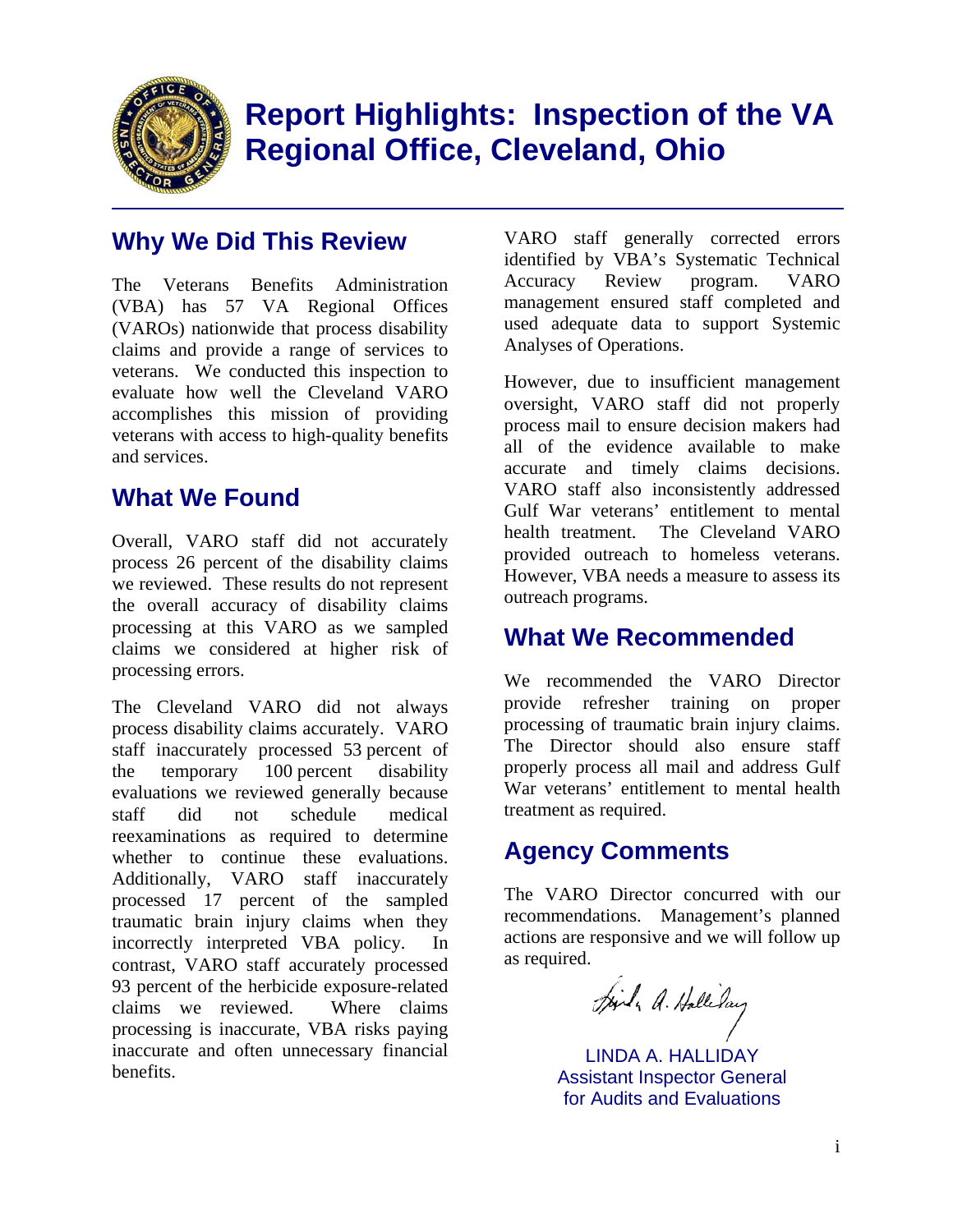

## **Report Highlights: Inspection of the VA Regional Office, Cleveland, Ohio**

### **Why We Did This Review**

The Veterans Benefits Administration (VBA) has 57 VA Regional Offices (VAROs) nationwide that process disability claims and provide a range of services to veterans. We conducted this inspection to evaluate how well the Cleveland VARO accomplishes this mission of providing veterans with access to high-quality benefits and services.

### **What We Found**

Overall, VARO staff did not accurately process 26 percent of the disability claims we reviewed. These results do not represent the overall accuracy of disability claims processing at this VARO as we sampled claims we considered at higher risk of processing errors.

The Cleveland VARO did not always process disability claims accurately. VARO staff inaccurately processed 53 percent of the temporary 100 percent disability evaluations we reviewed generally because staff did not schedule medical reexaminations as required to determine whether to continue these evaluations. Additionally, VARO staff inaccurately processed 17 percent of the sampled traumatic brain injury claims when they incorrectly interpreted VBA policy. In contrast, VARO staff accurately processed 93 percent of the herbicide exposure-related claims we reviewed. Where claims processing is inaccurate, VBA risks paying inaccurate and often unnecessary financial benefits.

VARO staff generally corrected errors identified by VBA's Systematic Technical Accuracy Review program. VARO management ensured staff completed and used adequate data to support Systemic Analyses of Operations.

However, due to insufficient management oversight, VARO staff did not properly process mail to ensure decision makers had all of the evidence available to make accurate and timely claims decisions. VARO staff also inconsistently addressed Gulf War veterans' entitlement to mental health treatment. The Cleveland VARO provided outreach to homeless veterans. However, VBA needs a measure to assess its outreach programs.

### **What We Recommended**

We recommended the VARO Director provide refresher training on proper processing of traumatic brain injury claims. The Director should also ensure staff properly process all mail and address Gulf War veterans' entitlement to mental health treatment as required.

### **Agency Comments**

The VARO Director concurred with our recommendations. Management's planned actions are responsive and we will follow up as required.

Joil, A. Hallilay

LINDA A. HALLIDAY Assistant Inspector General for Audits and Evaluations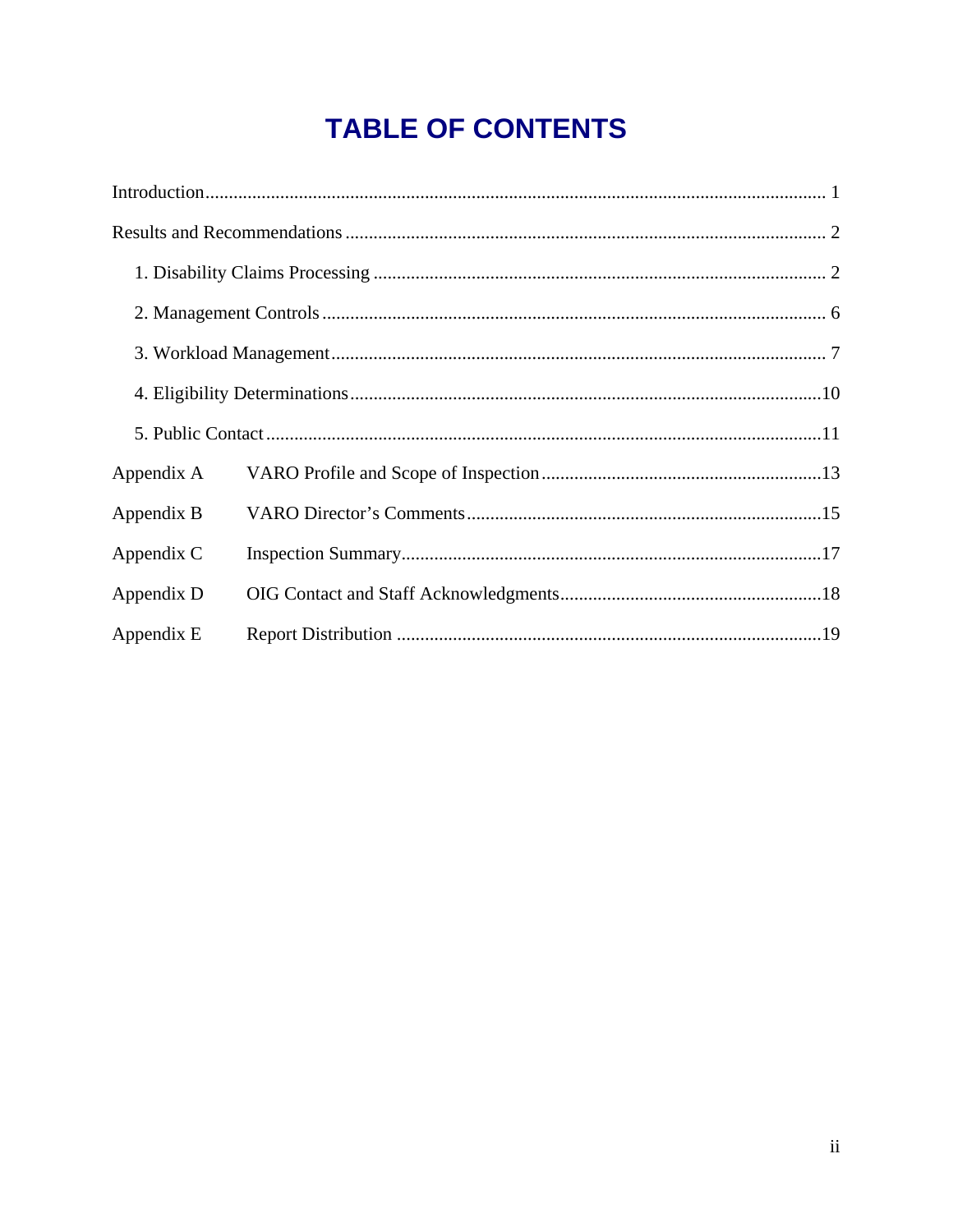## **TABLE OF CONTENTS**

| Appendix A |  |
|------------|--|
| Appendix B |  |
| Appendix C |  |
| Appendix D |  |
| Appendix E |  |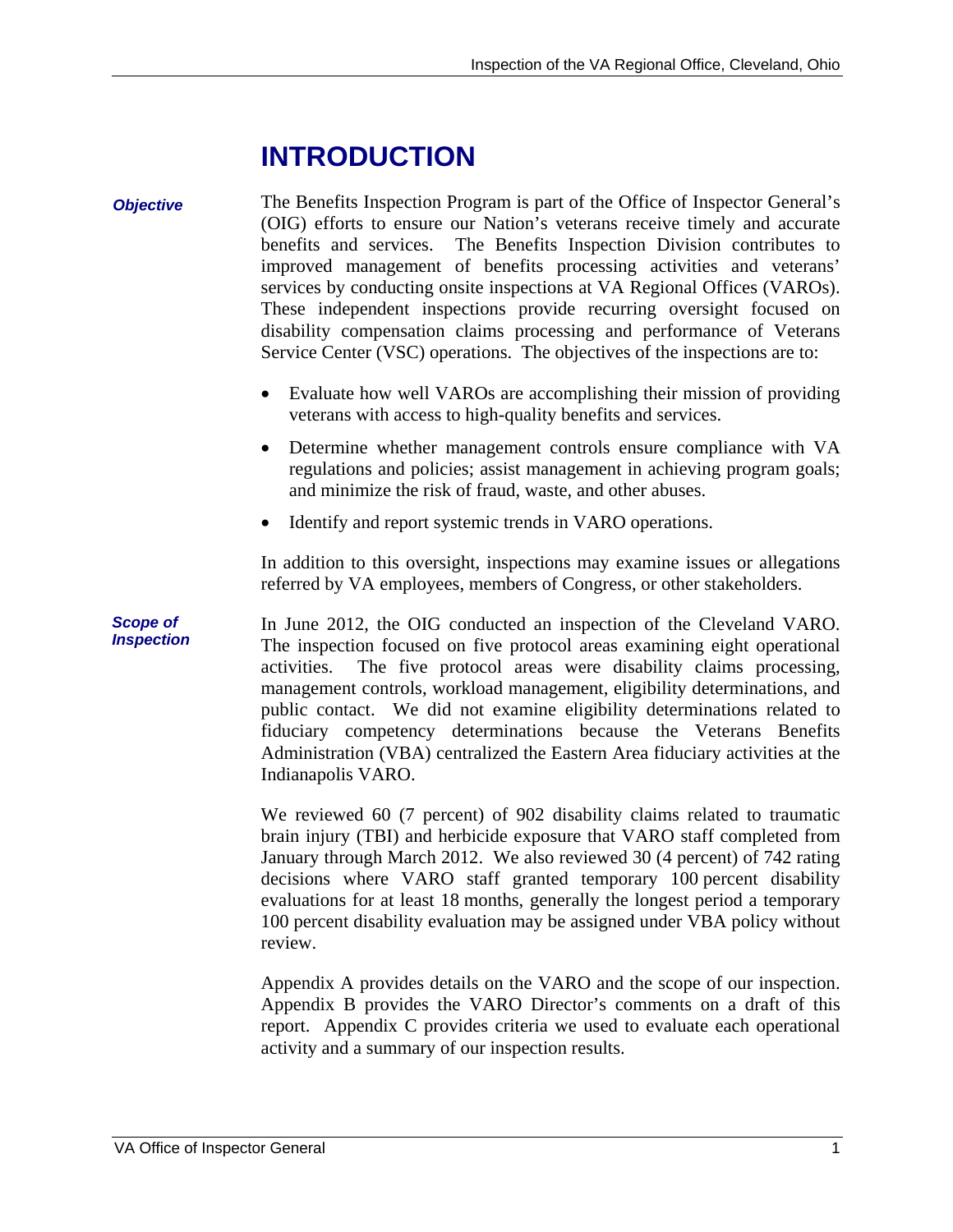## **INTRODUCTION**

#### *Objective* The Benefits Inspection Program is part of the Office of Inspector General's (OIG) efforts to ensure our Nation's veterans receive timely and accurate benefits and services. The Benefits Inspection Division contributes to improved management of benefits processing activities and veterans' services by conducting onsite inspections at VA Regional Offices (VAROs). These independent inspections provide recurring oversight focused on disability compensation claims processing and performance of Veterans Service Center (VSC) operations. The objectives of the inspections are to:

- Evaluate how well VAROs are accomplishing their mission of providing veterans with access to high-quality benefits and services.
- Determine whether management controls ensure compliance with VA regulations and policies; assist management in achieving program goals; and minimize the risk of fraud, waste, and other abuses.
- Identify and report systemic trends in VARO operations.

In addition to this oversight, inspections may examine issues or allegations referred by VA employees, members of Congress, or other stakeholders.

In June 2012, the OIG conducted an inspection of the Cleveland VARO. The inspection focused on five protocol areas examining eight operational activities. The five protocol areas were disability claims processing, management controls, workload management, eligibility determinations, and public contact. We did not examine eligibility determinations related to fiduciary competency determinations because the Veterans Benefits Administration (VBA) centralized the Eastern Area fiduciary activities at the Indianapolis VARO.

We reviewed 60 (7 percent) of 902 disability claims related to traumatic brain injury (TBI) and herbicide exposure that VARO staff completed from January through March 2012. We also reviewed 30 (4 percent) of 742 rating decisions where VARO staff granted temporary 100 percent disability evaluations for at least 18 months, generally the longest period a temporary 100 percent disability evaluation may be assigned under VBA policy without review.

Appendix A provides details on the VARO and the scope of our inspection. Appendix B provides the VARO Director's comments on a draft of this report. Appendix C provides criteria we used to evaluate each operational activity and a summary of our inspection results.

*Scope of Inspection*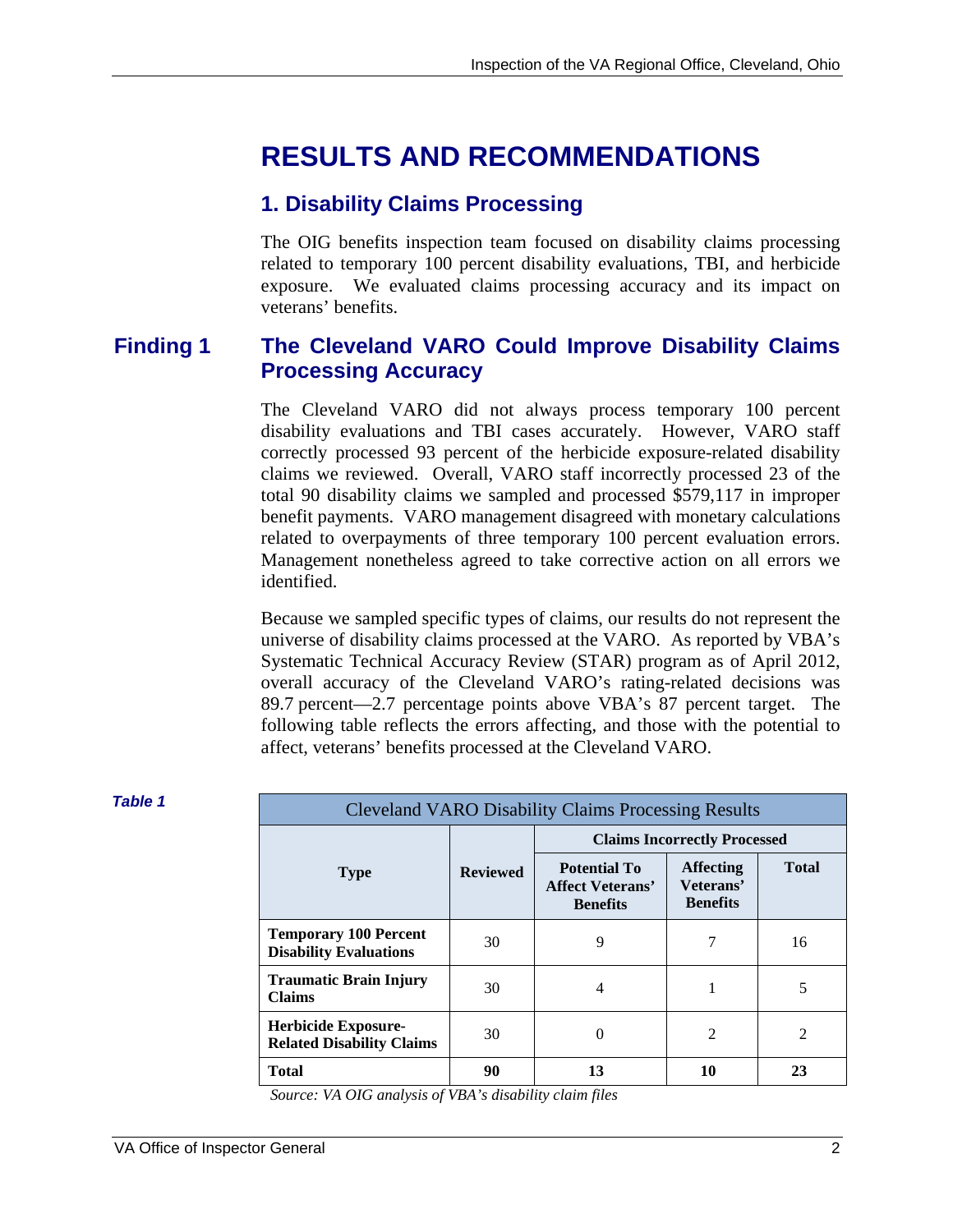## **RESULTS AND RECOMMENDATIONS**

### **1. Disability Claims Processing**

The OIG benefits inspection team focused on disability claims processing related to temporary 100 percent disability evaluations, TBI, and herbicide exposure. We evaluated claims processing accuracy and its impact on veterans' benefits.

#### **Processing Accuracy Finding 1 The Cleveland VARO Could Improve Disability Claims**

The Cleveland VARO did not always process temporary 100 percent disability evaluations and TBI cases accurately. However, VARO staff correctly processed 93 percent of the herbicide exposure-related disability claims we reviewed. Overall, VARO staff incorrectly processed 23 of the total 90 disability claims we sampled and processed \$579,117 in improper benefit payments. VARO management disagreed with monetary calculations related to overpayments of three temporary 100 percent evaluation errors. Management nonetheless agreed to take corrective action on all errors we identified.

Because we sampled specific types of claims, our results do not represent the universe of disability claims processed at the VARO. As reported by VBA's Systematic Technical Accuracy Review (STAR) program as of April 2012, overall accuracy of the Cleveland VARO's rating-related decisions was 89.7 percent—2.7 percentage points above VBA's 87 percent target. The following table reflects the errors affecting, and those with the potential to affect, veterans' benefits processed at the Cleveland VARO.

| <b>Table 1</b> | <b>Cleveland VARO Disability Claims Processing Results</b>     |                 |                                                                   |                                                  |              |
|----------------|----------------------------------------------------------------|-----------------|-------------------------------------------------------------------|--------------------------------------------------|--------------|
|                |                                                                |                 |                                                                   | <b>Claims Incorrectly Processed</b>              |              |
|                | <b>Type</b>                                                    | <b>Reviewed</b> | <b>Potential To</b><br><b>Affect Veterans'</b><br><b>Benefits</b> | <b>Affecting</b><br>Veterans'<br><b>Benefits</b> | <b>Total</b> |
|                | <b>Temporary 100 Percent</b><br><b>Disability Evaluations</b>  | 30              | 9                                                                 | 7                                                | 16           |
|                | <b>Traumatic Brain Injury</b><br><b>Claims</b>                 | 30              | 4                                                                 |                                                  | 5            |
|                | <b>Herbicide Exposure-</b><br><b>Related Disability Claims</b> | 30              | $\Omega$                                                          | 2                                                | 2            |
|                | <b>Total</b>                                                   | 90              | 13                                                                | 10                                               | 23           |
|                | Source: VA OIG analysis of VBA's disability claim files        |                 |                                                                   |                                                  |              |

*Source: VA OIG analysis of VBA's disability claim files*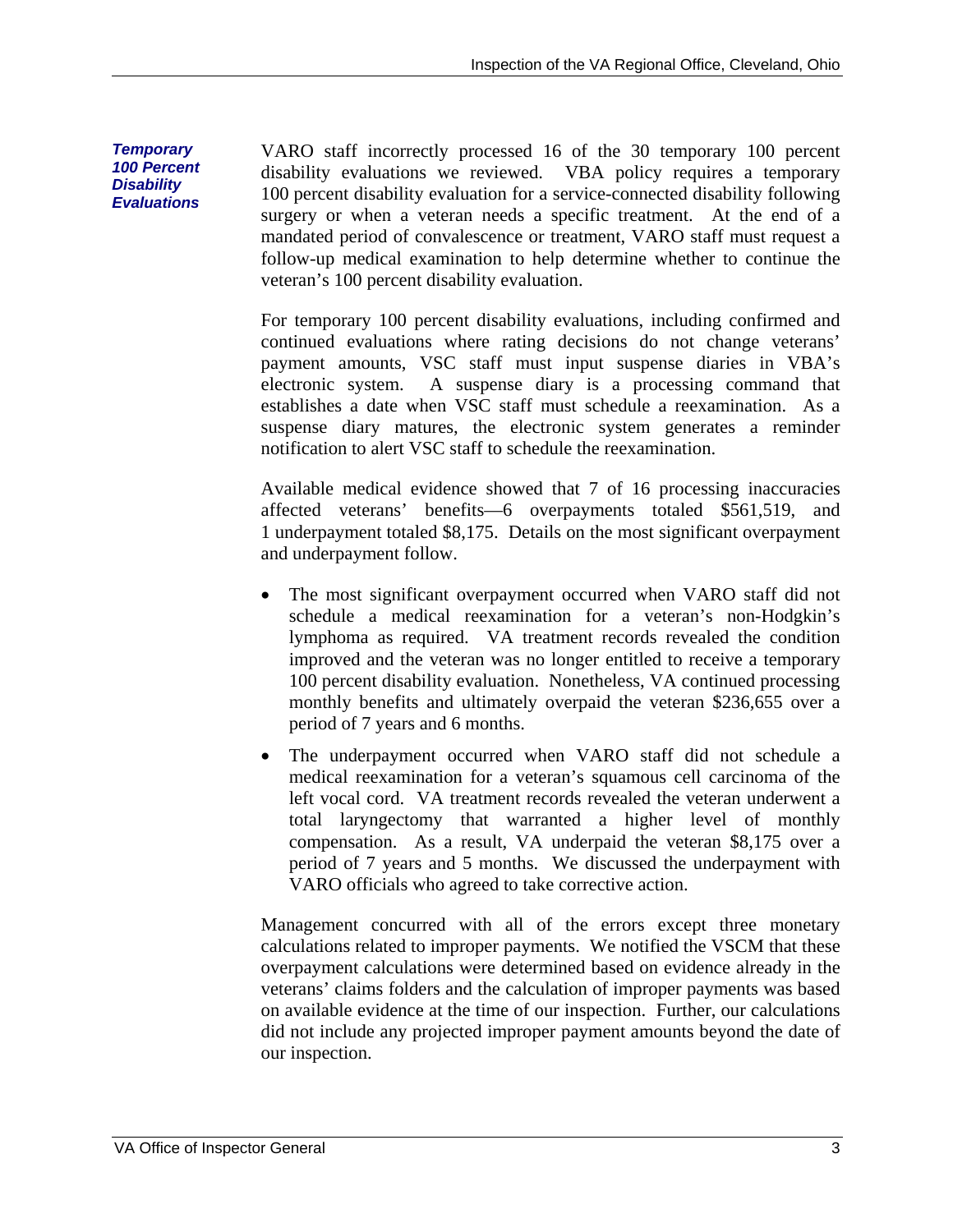VARO staff incorrectly processed 16 of the 30 temporary 100 percent disability evaluations we reviewed. VBA policy requires a temporary 100 percent disability evaluation for a service-connected disability following surgery or when a veteran needs a specific treatment. At the end of a mandated period of convalescence or treatment, VARO staff must request a follow-up medical examination to help determine whether to continue the veteran's 100 percent disability evaluation.

For temporary 100 percent disability evaluations, including confirmed and continued evaluations where rating decisions do not change veterans' payment amounts, VSC staff must input suspense diaries in VBA's electronic system. A suspense diary is a processing command that establishes a date when VSC staff must schedule a reexamination. As a suspense diary matures, the electronic system generates a reminder notification to alert VSC staff to schedule the reexamination.

Available medical evidence showed that 7 of 16 processing inaccuracies affected veterans' benefits—6 overpayments totaled \$561,519, and 1 underpayment totaled \$8,175. Details on the most significant overpayment and underpayment follow.

- The most significant overpayment occurred when VARO staff did not schedule a medical reexamination for a veteran's non-Hodgkin's lymphoma as required. VA treatment records revealed the condition improved and the veteran was no longer entitled to receive a temporary 100 percent disability evaluation. Nonetheless, VA continued processing monthly benefits and ultimately overpaid the veteran \$236,655 over a period of 7 years and 6 months.
- The underpayment occurred when VARO staff did not schedule a medical reexamination for a veteran's squamous cell carcinoma of the left vocal cord. VA treatment records revealed the veteran underwent a total laryngectomy that warranted a higher level of monthly compensation. As a result, VA underpaid the veteran \$8,175 over a period of 7 years and 5 months. We discussed the underpayment with VARO officials who agreed to take corrective action.

Management concurred with all of the errors except three monetary calculations related to improper payments. We notified the VSCM that these overpayment calculations were determined based on evidence already in the veterans' claims folders and the calculation of improper payments was based on available evidence at the time of our inspection. Further, our calculations did not include any projected improper payment amounts beyond the date of our inspection.

*Temporary 100 Percent Disability Evaluations*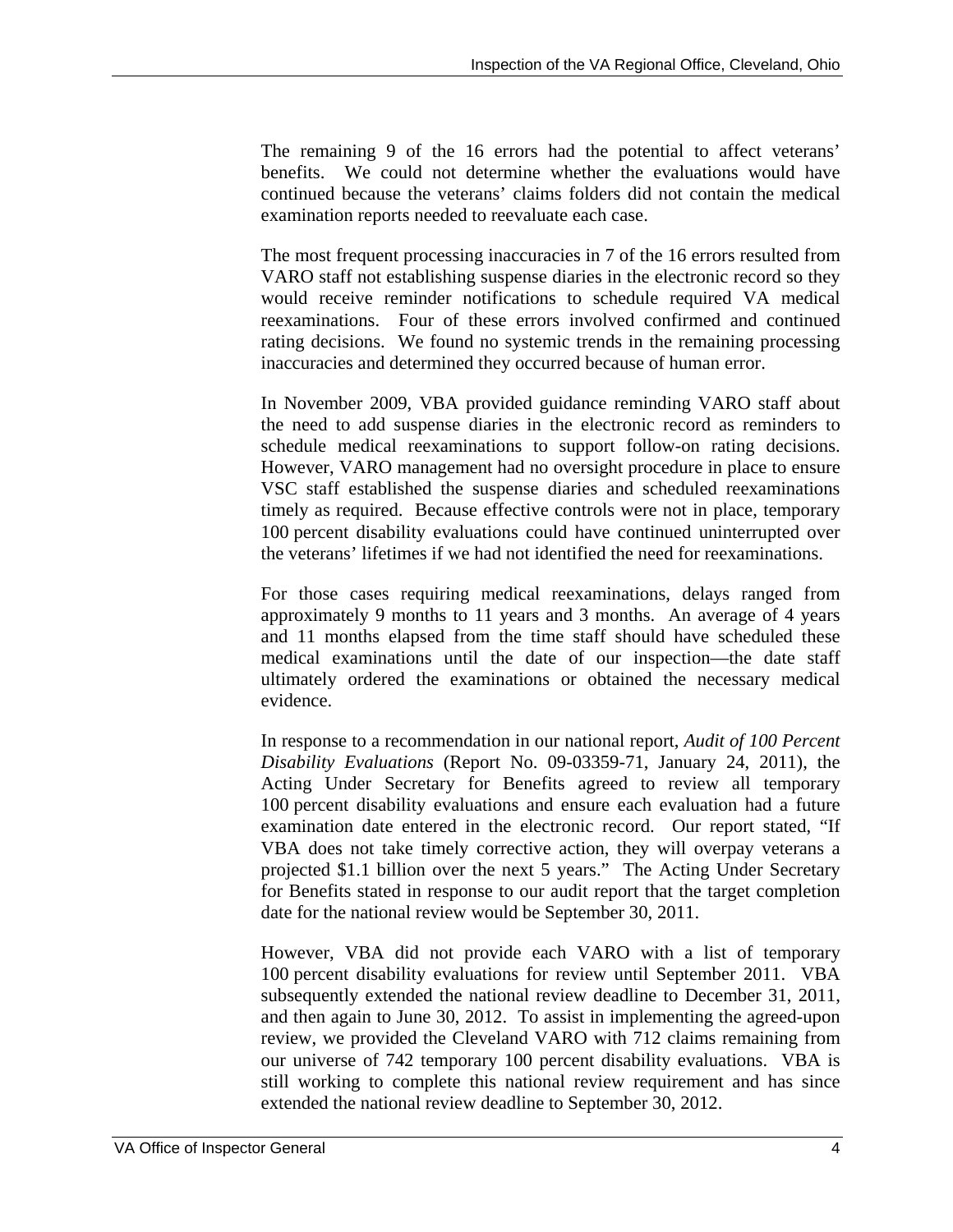The remaining 9 of the 16 errors had the potential to affect veterans' benefits. We could not determine whether the evaluations would have continued because the veterans' claims folders did not contain the medical examination reports needed to reevaluate each case.

The most frequent processing inaccuracies in 7 of the 16 errors resulted from VARO staff not establishing suspense diaries in the electronic record so they would receive reminder notifications to schedule required VA medical reexaminations. Four of these errors involved confirmed and continued rating decisions. We found no systemic trends in the remaining processing inaccuracies and determined they occurred because of human error.

In November 2009, VBA provided guidance reminding VARO staff about the need to add suspense diaries in the electronic record as reminders to schedule medical reexaminations to support follow-on rating decisions. However, VARO management had no oversight procedure in place to ensure VSC staff established the suspense diaries and scheduled reexaminations timely as required. Because effective controls were not in place, temporary 100 percent disability evaluations could have continued uninterrupted over the veterans' lifetimes if we had not identified the need for reexaminations.

For those cases requiring medical reexaminations, delays ranged from approximately 9 months to 11 years and 3 months. An average of 4 years and 11 months elapsed from the time staff should have scheduled these medical examinations until the date of our inspection—the date staff ultimately ordered the examinations or obtained the necessary medical evidence.

In response to a recommendation in our national report, *Audit of 100 Percent Disability Evaluations* (Report No. 09-03359-71, January 24, 2011), the Acting Under Secretary for Benefits agreed to review all temporary 100 percent disability evaluations and ensure each evaluation had a future examination date entered in the electronic record. Our report stated, "If VBA does not take timely corrective action, they will overpay veterans a projected \$1.1 billion over the next 5 years." The Acting Under Secretary for Benefits stated in response to our audit report that the target completion date for the national review would be September 30, 2011.

However, VBA did not provide each VARO with a list of temporary 100 percent disability evaluations for review until September 2011. VBA subsequently extended the national review deadline to December 31, 2011, and then again to June 30, 2012. To assist in implementing the agreed-upon review, we provided the Cleveland VARO with 712 claims remaining from our universe of 742 temporary 100 percent disability evaluations. VBA is still working to complete this national review requirement and has since extended the national review deadline to September 30, 2012.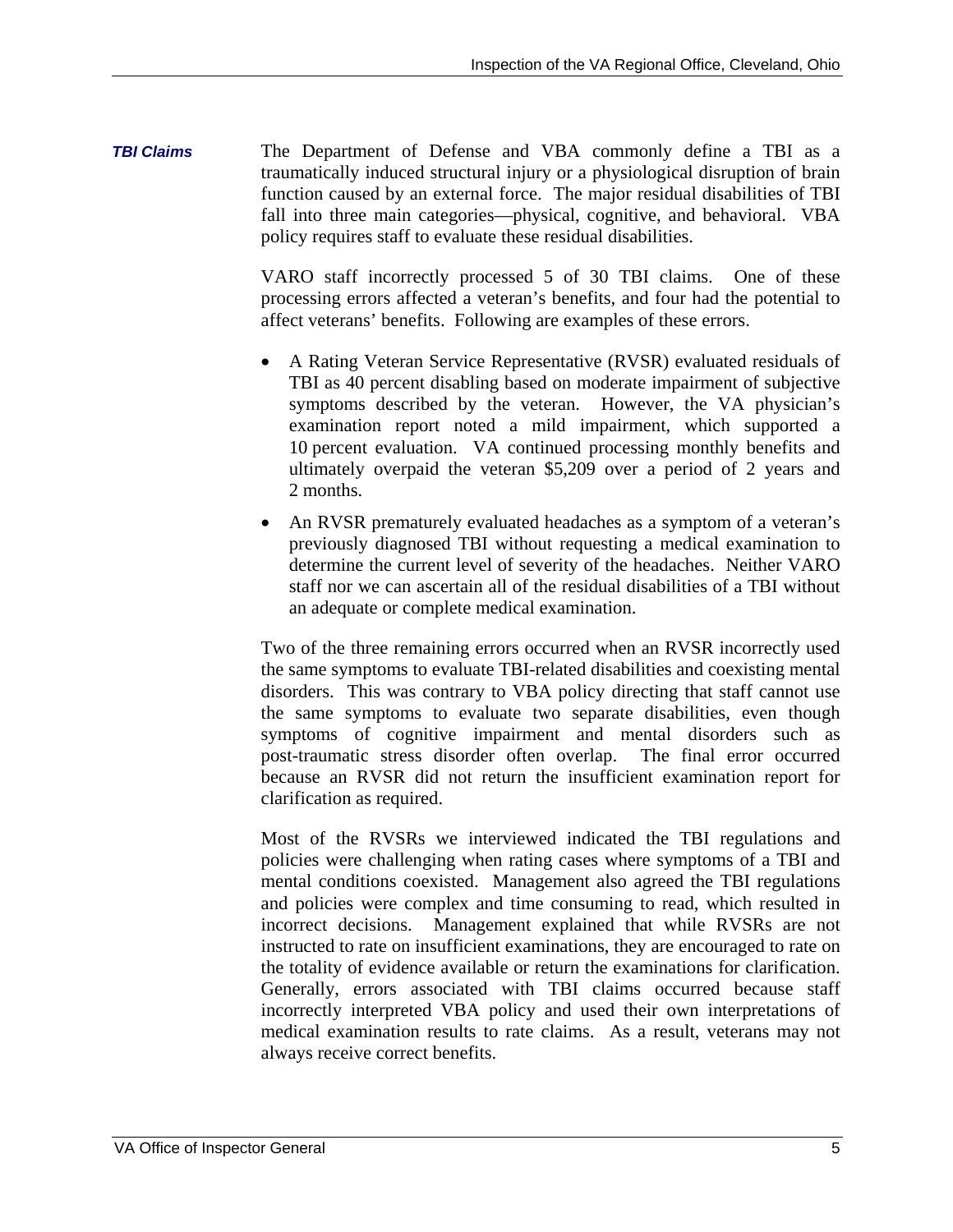*TBI Claims*  The Department of Defense and VBA commonly define a TBI as a traumatically induced structural injury or a physiological disruption of brain function caused by an external force. The major residual disabilities of TBI fall into three main categories—physical, cognitive, and behavioral. VBA policy requires staff to evaluate these residual disabilities.

> VARO staff incorrectly processed 5 of 30 TBI claims. One of these processing errors affected a veteran's benefits, and four had the potential to affect veterans' benefits. Following are examples of these errors.

- A Rating Veteran Service Representative (RVSR) evaluated residuals of TBI as 40 percent disabling based on moderate impairment of subjective symptoms described by the veteran. However, the VA physician's examination report noted a mild impairment, which supported a 10 percent evaluation. VA continued processing monthly benefits and ultimately overpaid the veteran \$5,209 over a period of 2 years and 2 months.
- An RVSR prematurely evaluated headaches as a symptom of a veteran's previously diagnosed TBI without requesting a medical examination to determine the current level of severity of the headaches. Neither VARO staff nor we can ascertain all of the residual disabilities of a TBI without an adequate or complete medical examination.

Two of the three remaining errors occurred when an RVSR incorrectly used the same symptoms to evaluate TBI-related disabilities and coexisting mental disorders. This was contrary to VBA policy directing that staff cannot use the same symptoms to evaluate two separate disabilities, even though symptoms of cognitive impairment and mental disorders such as post-traumatic stress disorder often overlap. The final error occurred because an RVSR did not return the insufficient examination report for clarification as required.

 the totality of evidence available or return the examinations for clarification. Generally, errors associated with TBI claims occurred because staff Most of the RVSRs we interviewed indicated the TBI regulations and policies were challenging when rating cases where symptoms of a TBI and mental conditions coexisted. Management also agreed the TBI regulations and policies were complex and time consuming to read, which resulted in incorrect decisions. Management explained that while RVSRs are not instructed to rate on insufficient examinations, they are encouraged to rate on incorrectly interpreted VBA policy and used their own interpretations of medical examination results to rate claims. As a result, veterans may not always receive correct benefits.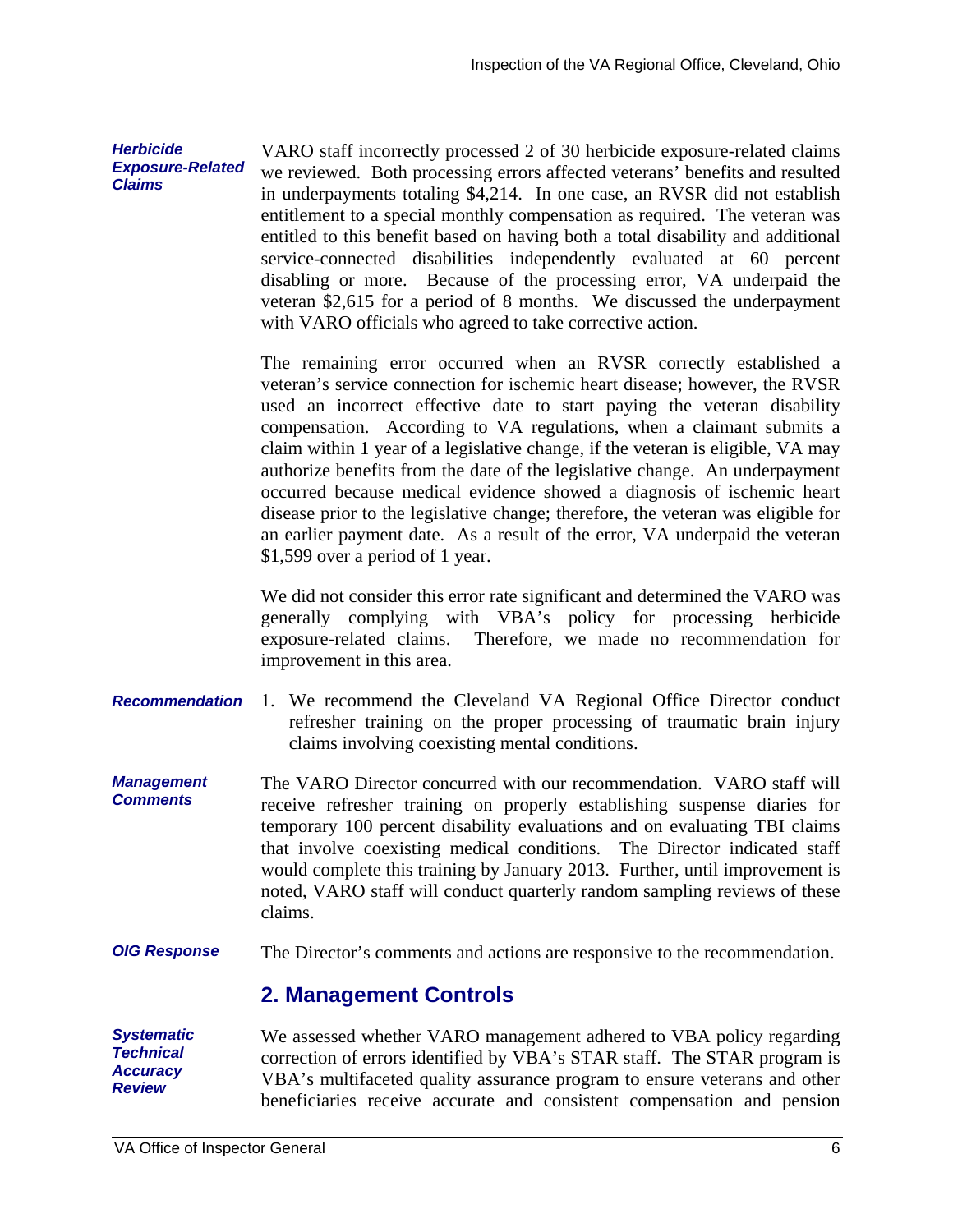claims involving coexisting mental conditions. *Herbicide Exposure-Related Claims*  **Recommendation** 1. We recommend the Cleveland VA Regional Office Director conduct *Management Comments OIG Response Systematic Technical Accuracy Review*  VARO staff incorrectly processed 2 of 30 herbicide exposure-related claims we reviewed. Both processing errors affected veterans' benefits and resulted in underpayments totaling \$4,214. In one case, an RVSR did not establish entitlement to a special monthly compensation as required. The veteran was entitled to this benefit based on having both a total disability and additional service-connected disabilities independently evaluated at 60 percent disabling or more. Because of the processing error, VA underpaid the veteran \$2,615 for a period of 8 months. We discussed the underpayment with VARO officials who agreed to take corrective action. The remaining error occurred when an RVSR correctly established a veteran's service connection for ischemic heart disease; however, the RVSR used an incorrect effective date to start paying the veteran disability compensation. According to VA regulations, when a claimant submits a claim within 1 year of a legislative change, if the veteran is eligible, VA may authorize benefits from the date of the legislative change. An underpayment occurred because medical evidence showed a diagnosis of ischemic heart disease prior to the legislative change; therefore, the veteran was eligible for an earlier payment date. As a result of the error, VA underpaid the veteran \$1,599 over a period of 1 year. We did not consider this error rate significant and determined the VARO was generally complying with VBA's policy for processing herbicide exposure-related claims. Therefore, we made no recommendation for improvement in this area. refresher training on the proper processing of traumatic brain injury The VARO Director concurred with our recommendation. VARO staff will receive refresher training on properly establishing suspense diaries for temporary 100 percent disability evaluations and on evaluating TBI claims that involve coexisting medical conditions. The Director indicated staff would complete this training by January 2013. Further, until improvement is noted, VARO staff will conduct quarterly random sampling reviews of these claims. The Director's comments and actions are responsive to the recommendation. **2. Management Controls**  We assessed whether VARO management adhered to VBA policy regarding correction of errors identified by VBA's STAR staff. The STAR program is VBA's multifaceted quality assurance program to ensure veterans and other

beneficiaries receive accurate and consistent compensation and pension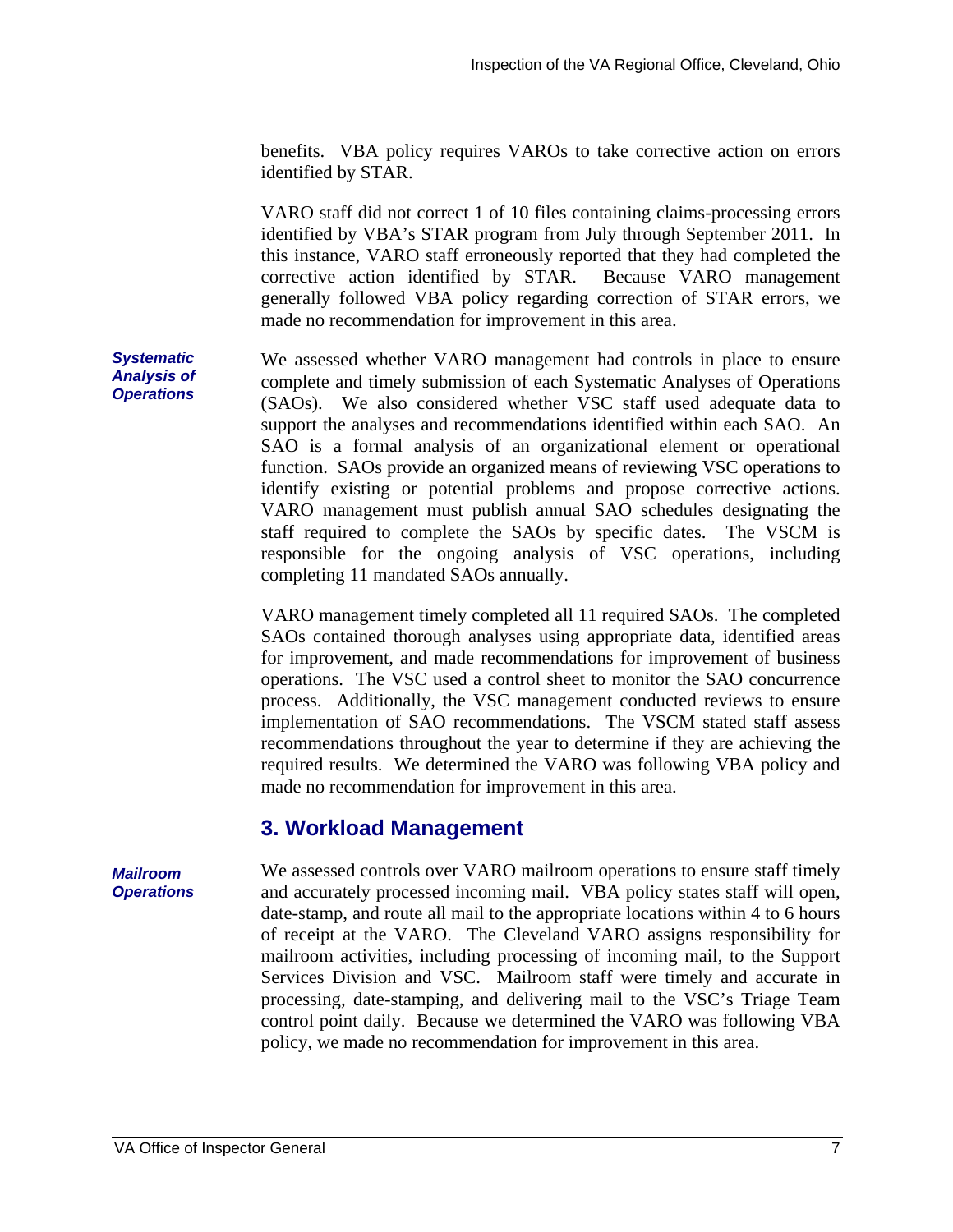benefits. VBA policy requires VAROs to take corrective action on errors identified by STAR.

VARO staff did not correct 1 of 10 files containing claims-processing errors identified by VBA's STAR program from July through September 2011. In this instance, VARO staff erroneously reported that they had completed the corrective action identified by STAR. Because VARO management generally followed VBA policy regarding correction of STAR errors, we made no recommendation for improvement in this area.

We assessed whether VARO management had controls in place to ensure complete and timely submission of each Systematic Analyses of Operations (SAOs). We also considered whether VSC staff used adequate data to support the analyses and recommendations identified within each SAO. An SAO is a formal analysis of an organizational element or operational function. SAOs provide an organized means of reviewing VSC operations to identify existing or potential problems and propose corrective actions. VARO management must publish annual SAO schedules designating the staff required to complete the SAOs by specific dates. The VSCM is responsible for the ongoing analysis of VSC operations, including completing 11 mandated SAOs annually.

VARO management timely completed all 11 required SAOs. The completed SAOs contained thorough analyses using appropriate data, identified areas for improvement, and made recommendations for improvement of business operations. The VSC used a control sheet to monitor the SAO concurrence process. Additionally, the VSC management conducted reviews to ensure implementation of SAO recommendations. The VSCM stated staff assess recommendations throughout the year to determine if they are achieving the required results. We determined the VARO was following VBA policy and made no recommendation for improvement in this area.

#### **3. Workload Management**

We assessed controls over VARO mailroom operations to ensure staff timely and accurately processed incoming mail. VBA policy states staff will open, date-stamp, and route all mail to the appropriate locations within 4 to 6 hours of receipt at the VARO. The Cleveland VARO assigns responsibility for mailroom activities, including processing of incoming mail, to the Support Services Division and VSC. Mailroom staff were timely and accurate in processing, date-stamping, and delivering mail to the VSC's Triage Team control point daily. Because we determined the VARO was following VBA policy, we made no recommendation for improvement in this area.

*Systematic Analysis of Operations* 

#### *Mailroom Operations*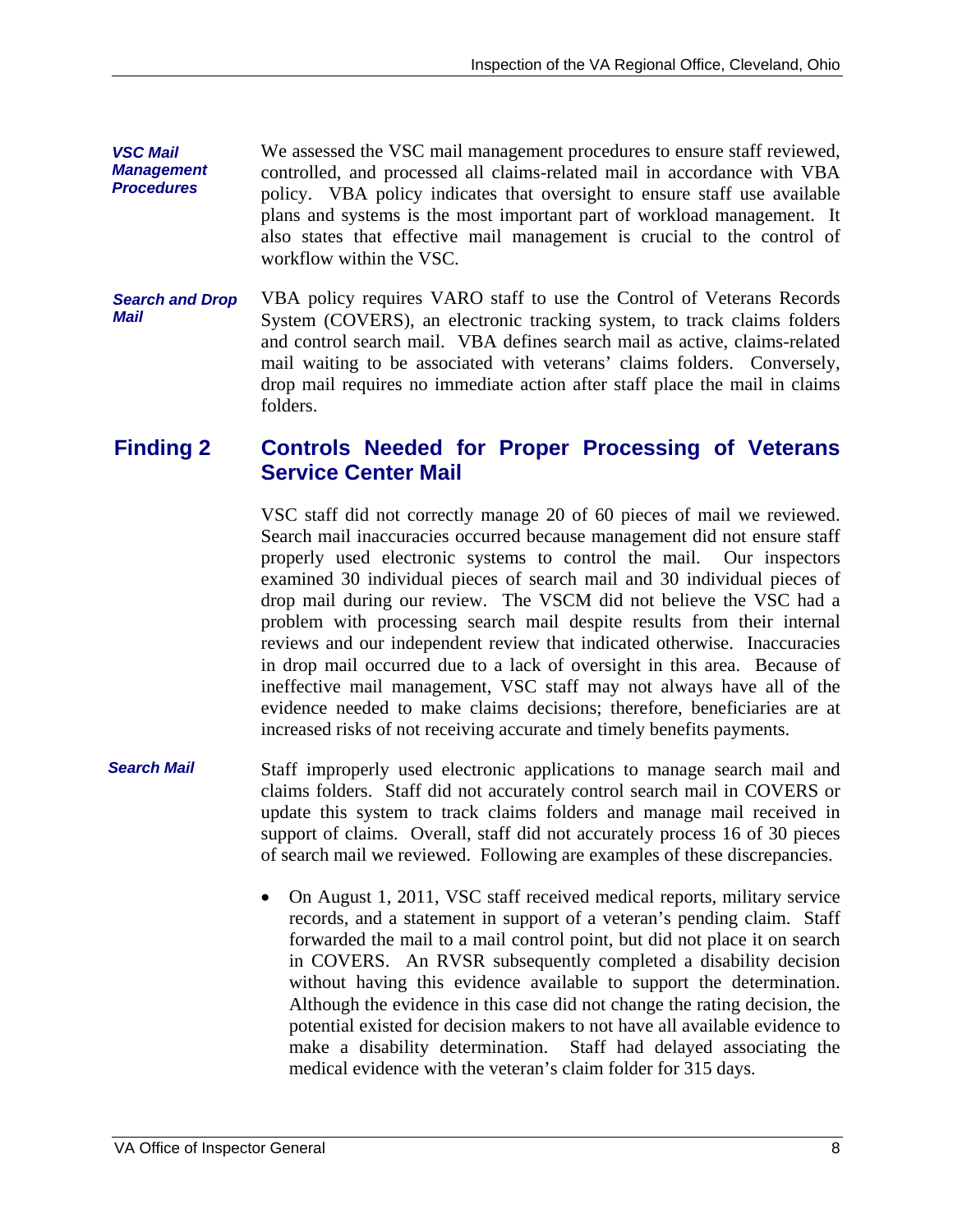*VSC Mail Management Procedures*  We assessed the VSC mail management procedures to ensure staff reviewed, controlled, and processed all claims-related mail in accordance with VBA policy. VBA policy indicates that oversight to ensure staff use available plans and systems is the most important part of workload management. It also states that effective mail management is crucial to the control of workflow within the VSC.

*Search and Drop Mail*  VBA policy requires VARO staff to use the Control of Veterans Records System (COVERS), an electronic tracking system, to track claims folders and control search mail. VBA defines search mail as active, claims-related mail waiting to be associated with veterans' claims folders. Conversely, drop mail requires no immediate action after staff place the mail in claims folders.

#### **Finding 2 Controls Needed for Proper Processing of Veterans Service Center Mail**

VSC staff did not correctly manage 20 of 60 pieces of mail we reviewed. Search mail inaccuracies occurred because management did not ensure staff properly used electronic systems to control the mail. Our inspectors examined 30 individual pieces of search mail and 30 individual pieces of drop mail during our review. The VSCM did not believe the VSC had a problem with processing search mail despite results from their internal reviews and our independent review that indicated otherwise. Inaccuracies in drop mail occurred due to a lack of oversight in this area. Because of ineffective mail management, VSC staff may not always have all of the evidence needed to make claims decisions; therefore, beneficiaries are at increased risks of not receiving accurate and timely benefits payments.

- *Search Mail*  Staff improperly used electronic applications to manage search mail and claims folders. Staff did not accurately control search mail in COVERS or update this system to track claims folders and manage mail received in support of claims. Overall, staff did not accurately process 16 of 30 pieces of search mail we reviewed. Following are examples of these discrepancies.
	- On August 1, 2011, VSC staff received medical reports, military service records, and a statement in support of a veteran's pending claim. Staff forwarded the mail to a mail control point, but did not place it on search in COVERS. An RVSR subsequently completed a disability decision without having this evidence available to support the determination. Although the evidence in this case did not change the rating decision, the potential existed for decision makers to not have all available evidence to make a disability determination. Staff had delayed associating the medical evidence with the veteran's claim folder for 315 days.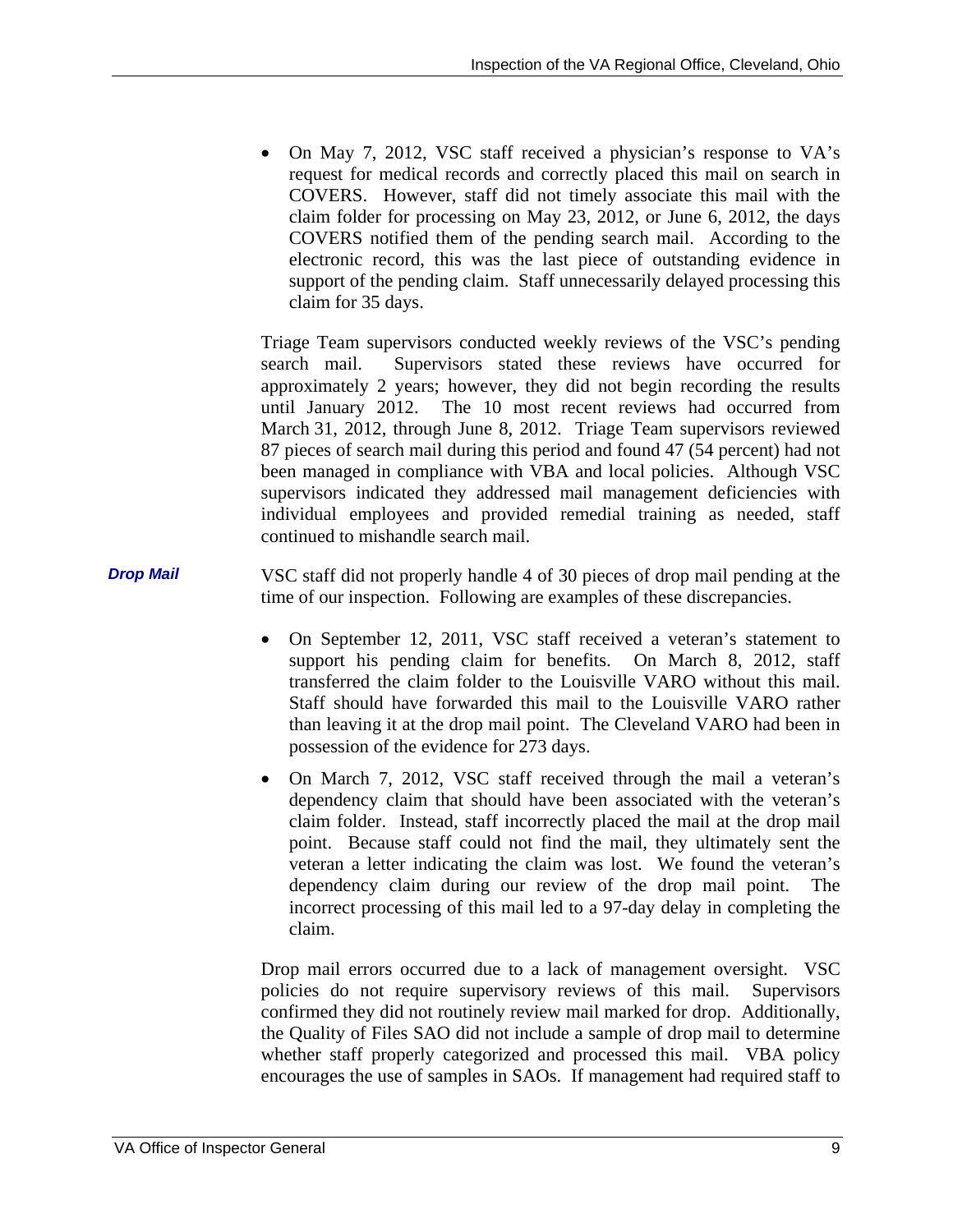On May 7, 2012, VSC staff received a physician's response to VA's request for medical records and correctly placed this mail on search in COVERS. However, staff did not timely associate this mail with the claim folder for processing on May 23, 2012, or June 6, 2012, the days COVERS notified them of the pending search mail. According to the electronic record, this was the last piece of outstanding evidence in support of the pending claim. Staff unnecessarily delayed processing this claim for 35 days.

Triage Team supervisors conducted weekly reviews of the VSC's pending search mail. Supervisors stated these reviews have occurred for approximately 2 years; however, they did not begin recording the results until January 2012. The 10 most recent reviews had occurred from March 31, 2012, through June 8, 2012. Triage Team supervisors reviewed 87 pieces of search mail during this period and found 47 (54 percent) had not been managed in compliance with VBA and local policies. Although VSC supervisors indicated they addressed mail management deficiencies with individual employees and provided remedial training as needed, staff continued to mishandle search mail.

*Drop Mail*  VSC staff did not properly handle 4 of 30 pieces of drop mail pending at the time of our inspection. Following are examples of these discrepancies.

- On September 12, 2011, VSC staff received a veteran's statement to support his pending claim for benefits. On March 8, 2012, staff transferred the claim folder to the Louisville VARO without this mail. Staff should have forwarded this mail to the Louisville VARO rather than leaving it at the drop mail point. The Cleveland VARO had been in possession of the evidence for 273 days.
- claim. • On March 7, 2012, VSC staff received through the mail a veteran's dependency claim that should have been associated with the veteran's claim folder. Instead, staff incorrectly placed the mail at the drop mail point. Because staff could not find the mail, they ultimately sent the veteran a letter indicating the claim was lost. We found the veteran's dependency claim during our review of the drop mail point. The incorrect processing of this mail led to a 97-day delay in completing the

Drop mail errors occurred due to a lack of management oversight. VSC policies do not require supervisory reviews of this mail. Supervisors confirmed they did not routinely review mail marked for drop. Additionally, the Quality of Files SAO did not include a sample of drop mail to determine whether staff properly categorized and processed this mail. VBA policy encourages the use of samples in SAOs. If management had required staff to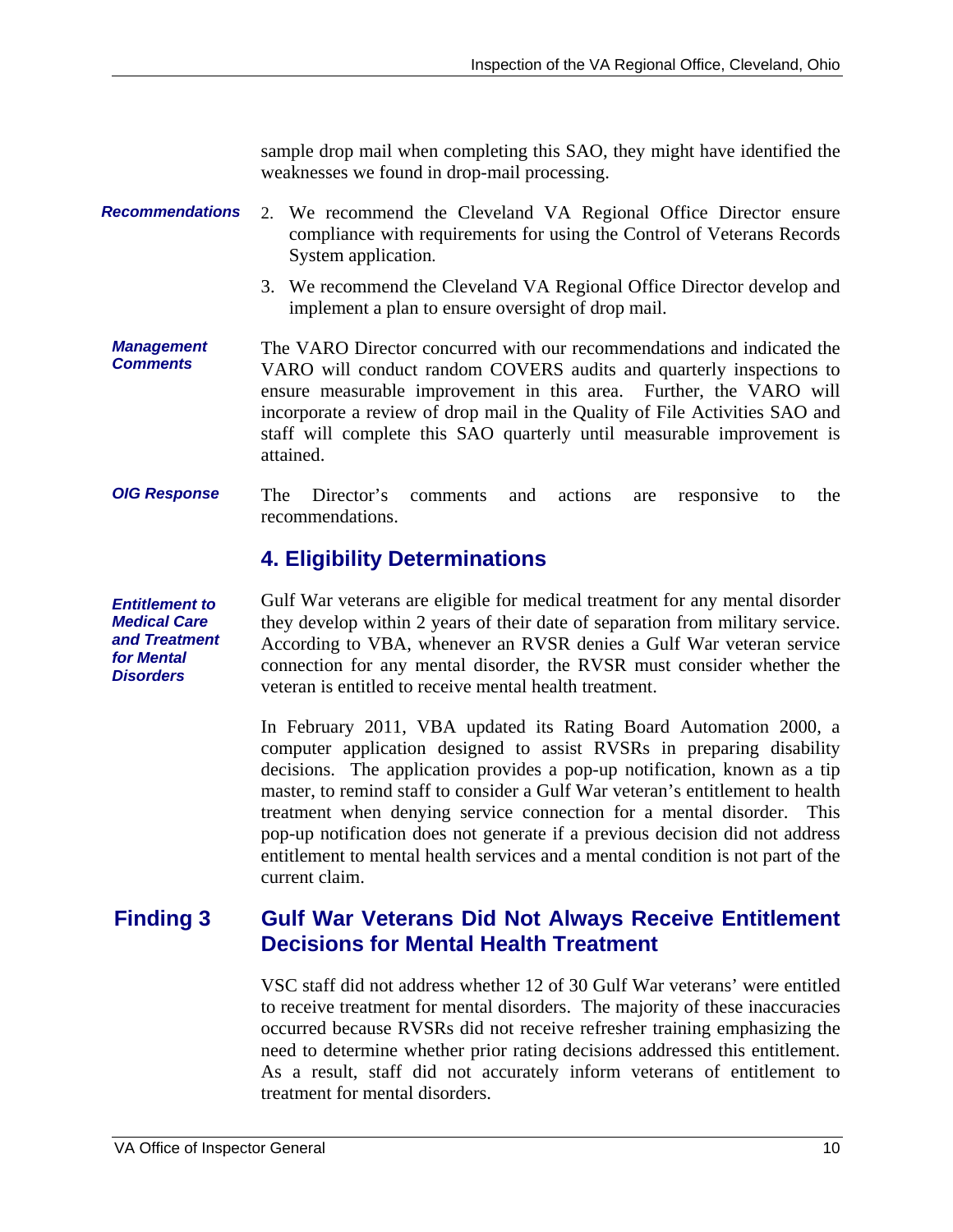sample drop mail when completing this SAO, they might have identified the weaknesses we found in drop-mail processing.

#### *Recommendations*  2. We recommend the Cleveland VA Regional Office Director ensure compliance with requirements for using the Control of Veterans Records System application.

- 3. We recommend the Cleveland VA Regional Office Director develop and implement a plan to ensure oversight of drop mail.
- *Management Comments*  The VARO Director concurred with our recommendations and indicated the VARO will conduct random COVERS audits and quarterly inspections to ensure measurable improvement in this area. Further, the VARO will incorporate a review of drop mail in the Quality of File Activities SAO and staff will complete this SAO quarterly until measurable improvement is attained.
- *OIG Response*  The Director's comments and actions are responsive to the recommendations.

### **4. Eligibility Determinations**

*Entitlement to Medical Care and Treatment for Mental Disorders*  Gulf War veterans are eligible for medical treatment for any mental disorder they develop within 2 years of their date of separation from military service. According to VBA, whenever an RVSR denies a Gulf War veteran service connection for any mental disorder, the RVSR must consider whether the veteran is entitled to receive mental health treatment.

> In February 2011, VBA updated its Rating Board Automation 2000, a computer application designed to assist RVSRs in preparing disability decisions. The application provides a pop-up notification, known as a tip master, to remind staff to consider a Gulf War veteran's entitlement to health treatment when denying service connection for a mental disorder. This pop-up notification does not generate if a previous decision did not address entitlement to mental health services and a mental condition is not part of the current claim.

#### **Finding 3 Gulf War Veterans Did Not Always Receive Entitlement Decisions for Mental Health Treatment**

VSC staff did not address whether 12 of 30 Gulf War veterans' were entitled to receive treatment for mental disorders. The majority of these inaccuracies occurred because RVSRs did not receive refresher training emphasizing the need to determine whether prior rating decisions addressed this entitlement. As a result, staff did not accurately inform veterans of entitlement to treatment for mental disorders.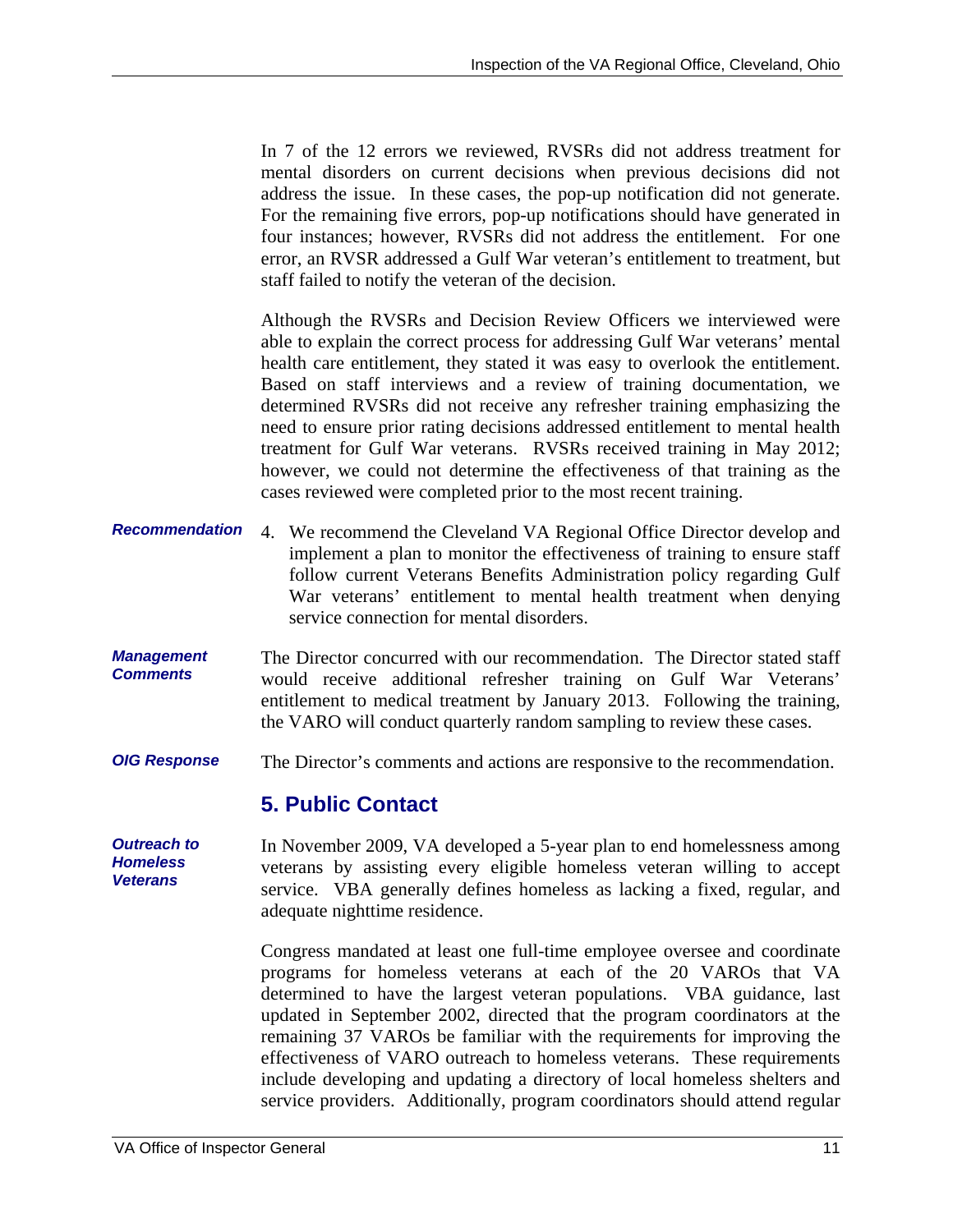In 7 of the 12 errors we reviewed, RVSRs did not address treatment for mental disorders on current decisions when previous decisions did not address the issue. In these cases, the pop-up notification did not generate. For the remaining five errors, pop-up notifications should have generated in four instances; however, RVSRs did not address the entitlement. For one error, an RVSR addressed a Gulf War veteran's entitlement to treatment, but staff failed to notify the veteran of the decision.

Although the RVSRs and Decision Review Officers we interviewed were able to explain the correct process for addressing Gulf War veterans' mental health care entitlement, they stated it was easy to overlook the entitlement. Based on staff interviews and a review of training documentation, we determined RVSRs did not receive any refresher training emphasizing the need to ensure prior rating decisions addressed entitlement to mental health treatment for Gulf War veterans. RVSRs received training in May 2012; however, we could not determine the effectiveness of that training as the cases reviewed were completed prior to the most recent training.

- *Recommendation*  4. We recommend the Cleveland VA Regional Office Director develop and implement a plan to monitor the effectiveness of training to ensure staff follow current Veterans Benefits Administration policy regarding Gulf War veterans' entitlement to mental health treatment when denying service connection for mental disorders.
- *Management Comments*  The Director concurred with our recommendation. The Director stated staff would receive additional refresher training on Gulf War Veterans' entitlement to medical treatment by January 2013. Following the training, the VARO will conduct quarterly random sampling to review these cases.
- *OIG Response*  The Director's comments and actions are responsive to the recommendation.

#### **5. Public Contact**

*Outreach to Homeless Veterans*  In November 2009, VA developed a 5-year plan to end homelessness among veterans by assisting every eligible homeless veteran willing to accept service. VBA generally defines homeless as lacking a fixed, regular, and adequate nighttime residence.

> Congress mandated at least one full-time employee oversee and coordinate programs for homeless veterans at each of the 20 VAROs that VA determined to have the largest veteran populations. VBA guidance, last updated in September 2002, directed that the program coordinators at the remaining 37 VAROs be familiar with the requirements for improving the effectiveness of VARO outreach to homeless veterans. These requirements include developing and updating a directory of local homeless shelters and service providers. Additionally, program coordinators should attend regular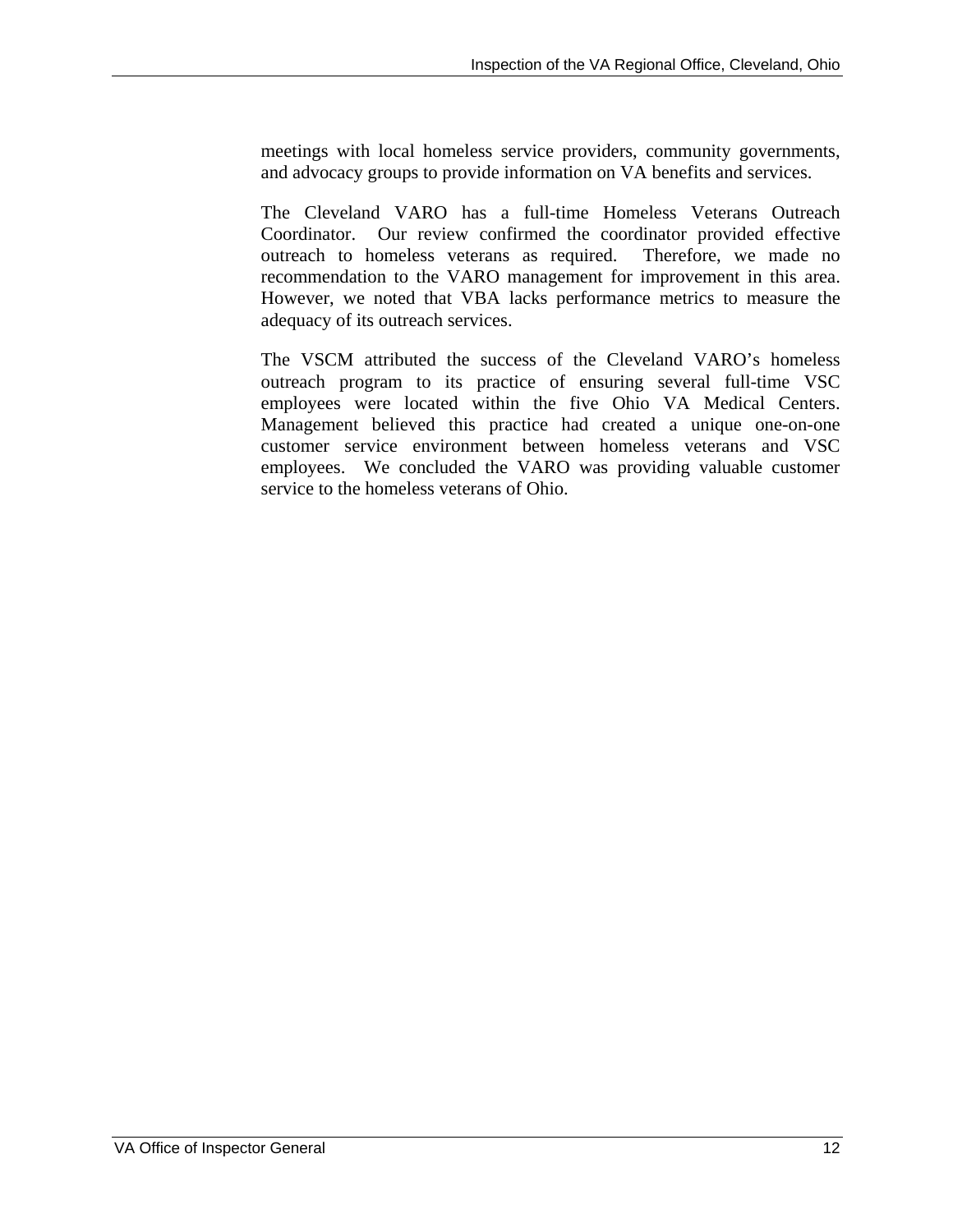meetings with local homeless service providers, community governments, and advocacy groups to provide information on VA benefits and services.

recommendation to the VARO management for improvement in this area. The Cleveland VARO has a full-time Homeless Veterans Outreach Coordinator. Our review confirmed the coordinator provided effective outreach to homeless veterans as required. Therefore, we made no However, we noted that VBA lacks performance metrics to measure the adequacy of its outreach services.

The VSCM attributed the success of the Cleveland VARO's homeless outreach program to its practice of ensuring several full-time VSC employees were located within the five Ohio VA Medical Centers. Management believed this practice had created a unique one-on-one customer service environment between homeless veterans and VSC employees. We concluded the VARO was providing valuable customer service to the homeless veterans of Ohio.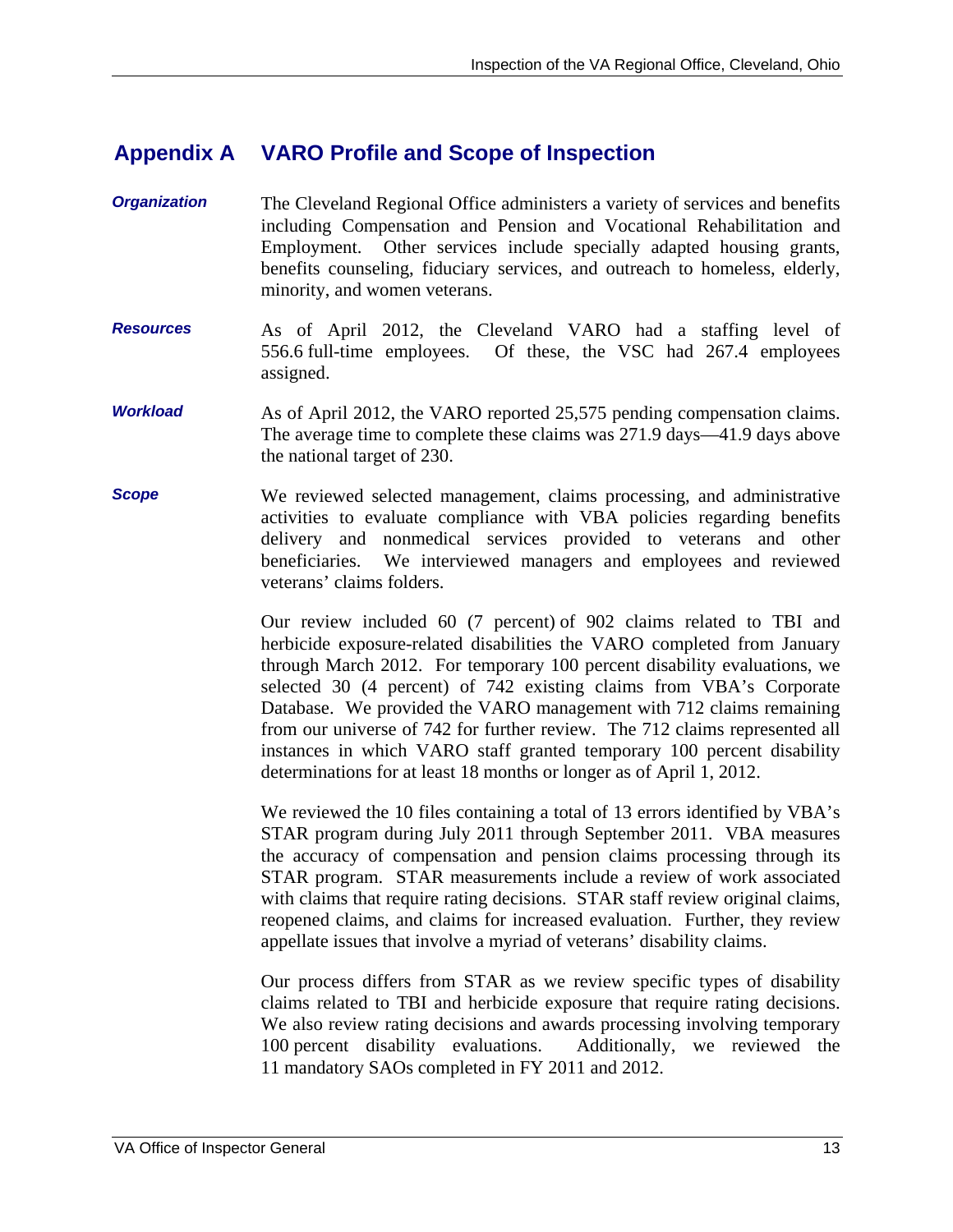#### **Appendix A VARO Profile and Scope of Inspection**

- *Organization*  The Cleveland Regional Office administers a variety of services and benefits including Compensation and Pension and Vocational Rehabilitation and Employment. Other services include specially adapted housing grants, benefits counseling, fiduciary services, and outreach to homeless, elderly, minority, and women veterans.
- *Resources*  As of April 2012, the Cleveland VARO had a staffing level of 556.6 full-time employees. Of these, the VSC had 267.4 employees assigned.
- *Workload*  As of April 2012, the VARO reported 25,575 pending compensation claims. The average time to complete these claims was 271.9 days—41.9 days above the national target of 230.
- *Scope*  We reviewed selected management, claims processing, and administrative activities to evaluate compliance with VBA policies regarding benefits delivery and nonmedical services provided to veterans and other beneficiaries. We interviewed managers and employees and reviewed veterans' claims folders.

Our review included 60 (7 percent) of 902 claims related to TBI and herbicide exposure-related disabilities the VARO completed from January through March 2012. For temporary 100 percent disability evaluations, we selected 30 (4 percent) of 742 existing claims from VBA's Corporate Database. We provided the VARO management with 712 claims remaining from our universe of 742 for further review. The 712 claims represented all instances in which VARO staff granted temporary 100 percent disability determinations for at least 18 months or longer as of April 1, 2012.

We reviewed the 10 files containing a total of 13 errors identified by VBA's STAR program during July 2011 through September 2011. VBA measures the accuracy of compensation and pension claims processing through its STAR program. STAR measurements include a review of work associated with claims that require rating decisions. STAR staff review original claims, reopened claims, and claims for increased evaluation. Further, they review appellate issues that involve a myriad of veterans' disability claims.

Our process differs from STAR as we review specific types of disability claims related to TBI and herbicide exposure that require rating decisions. We also review rating decisions and awards processing involving temporary 100 percent disability evaluations. Additionally, we reviewed the 11 mandatory SAOs completed in FY 2011 and 2012.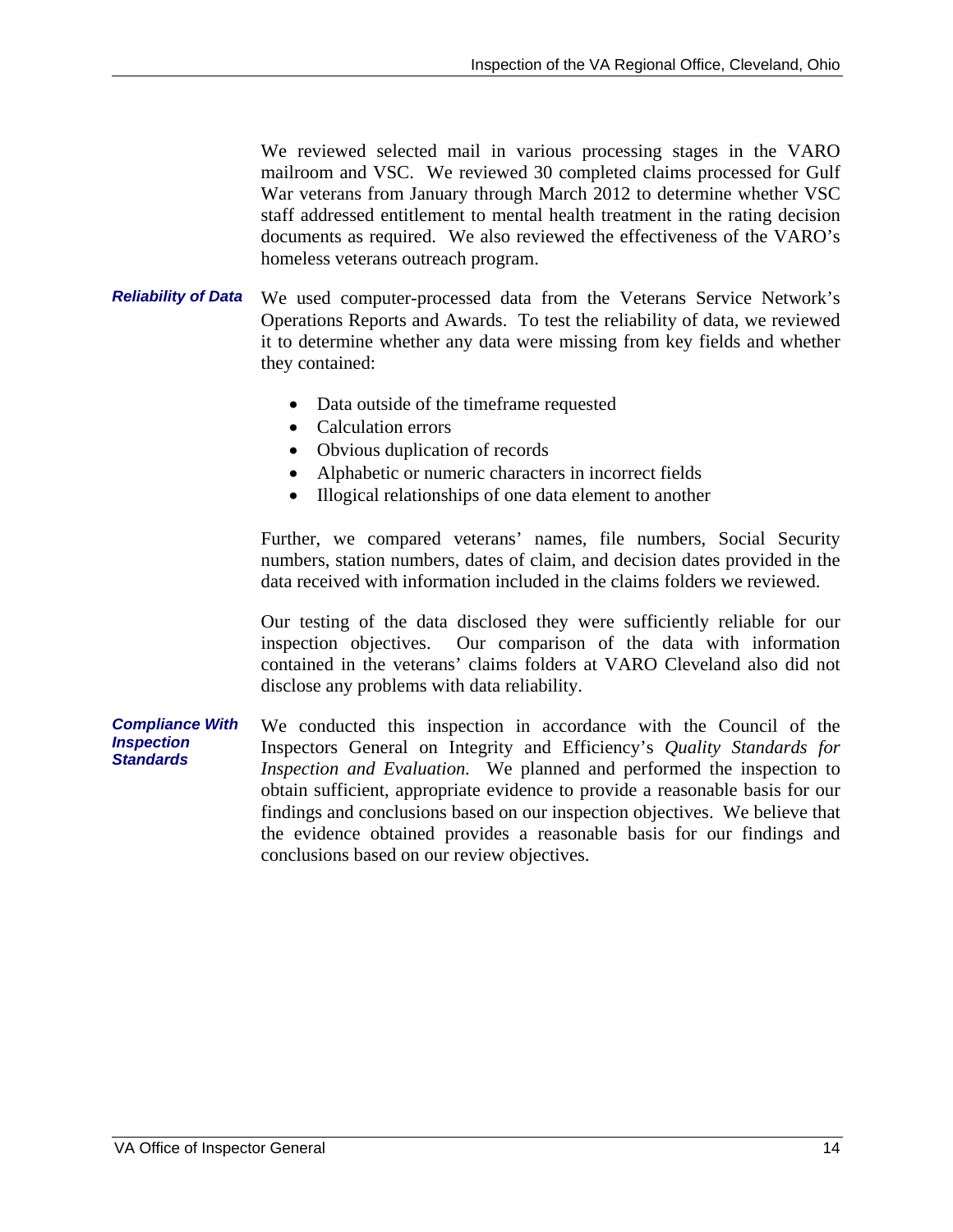We reviewed selected mail in various processing stages in the VARO mailroom and VSC. We reviewed 30 completed claims processed for Gulf War veterans from January through March 2012 to determine whether VSC staff addressed entitlement to mental health treatment in the rating decision documents as required. We also reviewed the effectiveness of the VARO's homeless veterans outreach program.

- *Reliability of Data*  We used computer-processed data from the Veterans Service Network's Operations Reports and Awards. To test the reliability of data, we reviewed it to determine whether any data were missing from key fields and whether they contained:
	- Data outside of the timeframe requested
	- Calculation errors
	- Obvious duplication of records
	- Alphabetic or numeric characters in incorrect fields
	- Illogical relationships of one data element to another

Further, we compared veterans' names, file numbers, Social Security numbers, station numbers, dates of claim, and decision dates provided in the data received with information included in the claims folders we reviewed.

Our testing of the data disclosed they were sufficiently reliable for our inspection objectives. Our comparison of the data with information contained in the veterans' claims folders at VARO Cleveland also did not disclose any problems with data reliability.

*Compliance With Inspection Standards*  We conducted this inspection in accordance with the Council of the Inspectors General on Integrity and Efficiency's *Quality Standards for Inspection and Evaluation.* We planned and performed the inspection to obtain sufficient, appropriate evidence to provide a reasonable basis for our findings and conclusions based on our inspection objectives. We believe that the evidence obtained provides a reasonable basis for our findings and conclusions based on our review objectives.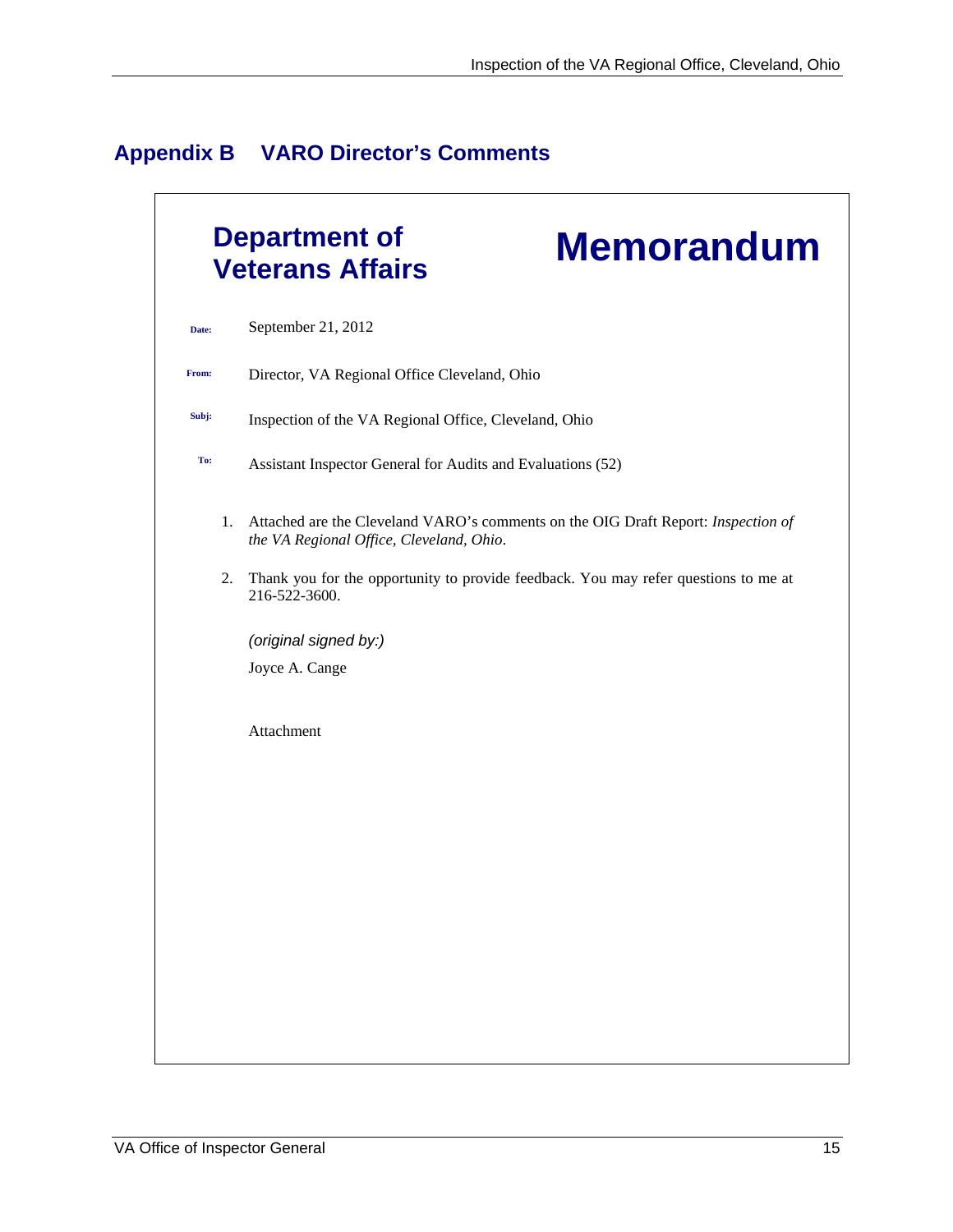|  | <b>Appendix B</b> |  |  | <b>VARO Director's Comments</b> |
|--|-------------------|--|--|---------------------------------|
|--|-------------------|--|--|---------------------------------|

|       | <b>Department of</b><br><b>Memorandum</b><br><b>Veterans Affairs</b>                                                          |
|-------|-------------------------------------------------------------------------------------------------------------------------------|
| Date: | September 21, 2012                                                                                                            |
| From: | Director, VA Regional Office Cleveland, Ohio                                                                                  |
| Subj: | Inspection of the VA Regional Office, Cleveland, Ohio                                                                         |
| To:   | Assistant Inspector General for Audits and Evaluations (52)                                                                   |
| 1.    | Attached are the Cleveland VARO's comments on the OIG Draft Report: Inspection of<br>the VA Regional Office, Cleveland, Ohio. |
| 2.    | Thank you for the opportunity to provide feedback. You may refer questions to me at<br>216-522-3600.                          |
|       | (original signed by:)                                                                                                         |
|       | Joyce A. Cange                                                                                                                |
|       | Attachment                                                                                                                    |
|       |                                                                                                                               |
|       |                                                                                                                               |
|       |                                                                                                                               |
|       |                                                                                                                               |
|       |                                                                                                                               |
|       |                                                                                                                               |
|       |                                                                                                                               |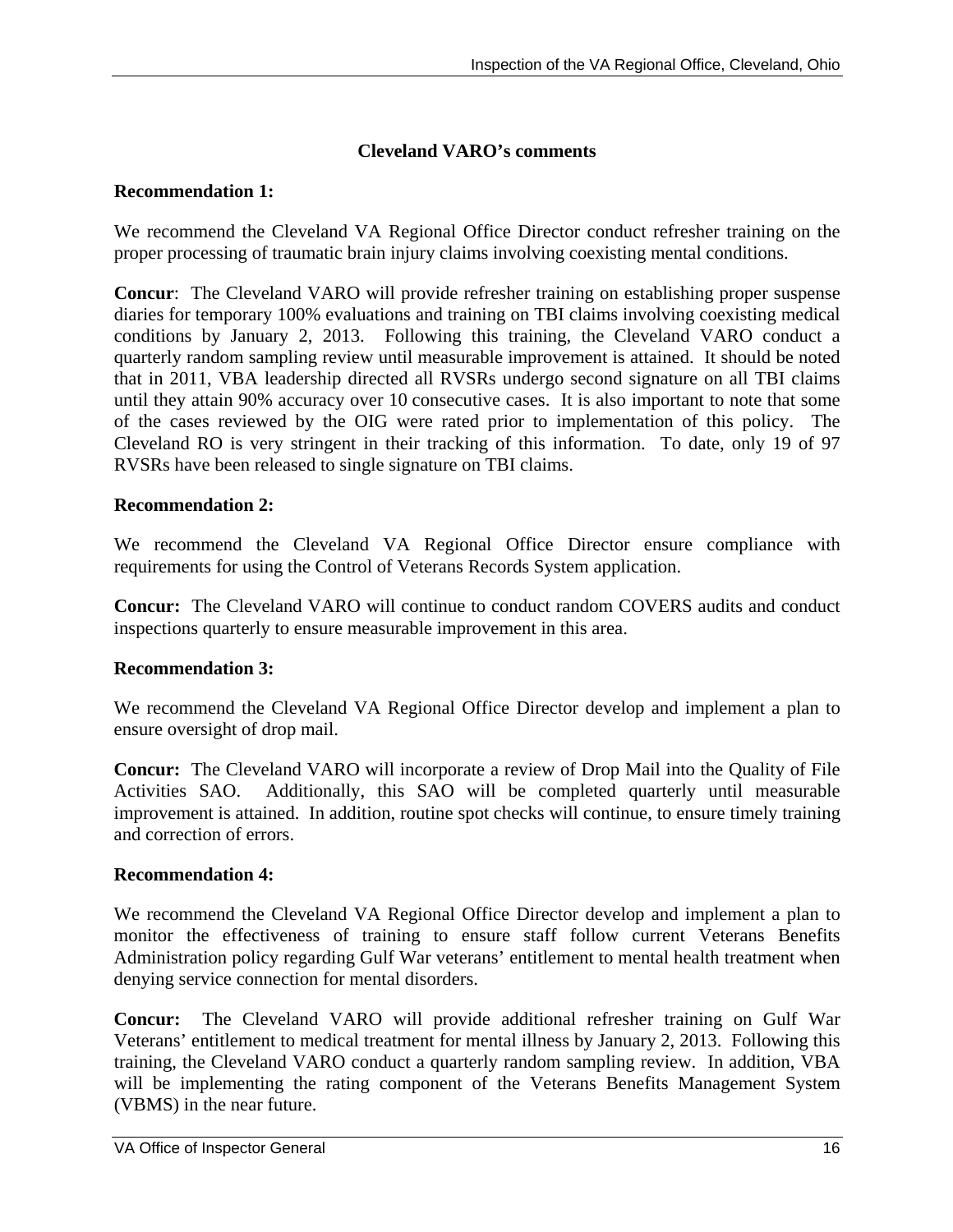#### **Cleveland VARO's comments**

#### **Recommendation 1:**

We recommend the Cleveland VA Regional Office Director conduct refresher training on the proper processing of traumatic brain injury claims involving coexisting mental conditions.

**Concur**: The Cleveland VARO will provide refresher training on establishing proper suspense diaries for temporary 100% evaluations and training on TBI claims involving coexisting medical conditions by January 2, 2013. Following this training, the Cleveland VARO conduct a quarterly random sampling review until measurable improvement is attained. It should be noted that in 2011, VBA leadership directed all RVSRs undergo second signature on all TBI claims until they attain 90% accuracy over 10 consecutive cases. It is also important to note that some of the cases reviewed by the OIG were rated prior to implementation of this policy. The Cleveland RO is very stringent in their tracking of this information. To date, only 19 of 97 RVSRs have been released to single signature on TBI claims.

#### **Recommendation 2:**

We recommend the Cleveland VA Regional Office Director ensure compliance with requirements for using the Control of Veterans Records System application.

**Concur:** The Cleveland VARO will continue to conduct random COVERS audits and conduct inspections quarterly to ensure measurable improvement in this area.

#### **Recommendation 3:**

We recommend the Cleveland VA Regional Office Director develop and implement a plan to ensure oversight of drop mail.

**Concur:** The Cleveland VARO will incorporate a review of Drop Mail into the Quality of File Activities SAO. Additionally, this SAO will be completed quarterly until measurable improvement is attained. In addition, routine spot checks will continue, to ensure timely training and correction of errors.

#### **Recommendation 4:**

We recommend the Cleveland VA Regional Office Director develop and implement a plan to monitor the effectiveness of training to ensure staff follow current Veterans Benefits Administration policy regarding Gulf War veterans' entitlement to mental health treatment when denying service connection for mental disorders.

 training, the Cleveland VARO conduct a quarterly random sampling review. In addition, VBA **Concur:** The Cleveland VARO will provide additional refresher training on Gulf War Veterans' entitlement to medical treatment for mental illness by January 2, 2013. Following this will be implementing the rating component of the Veterans Benefits Management System (VBMS) in the near future.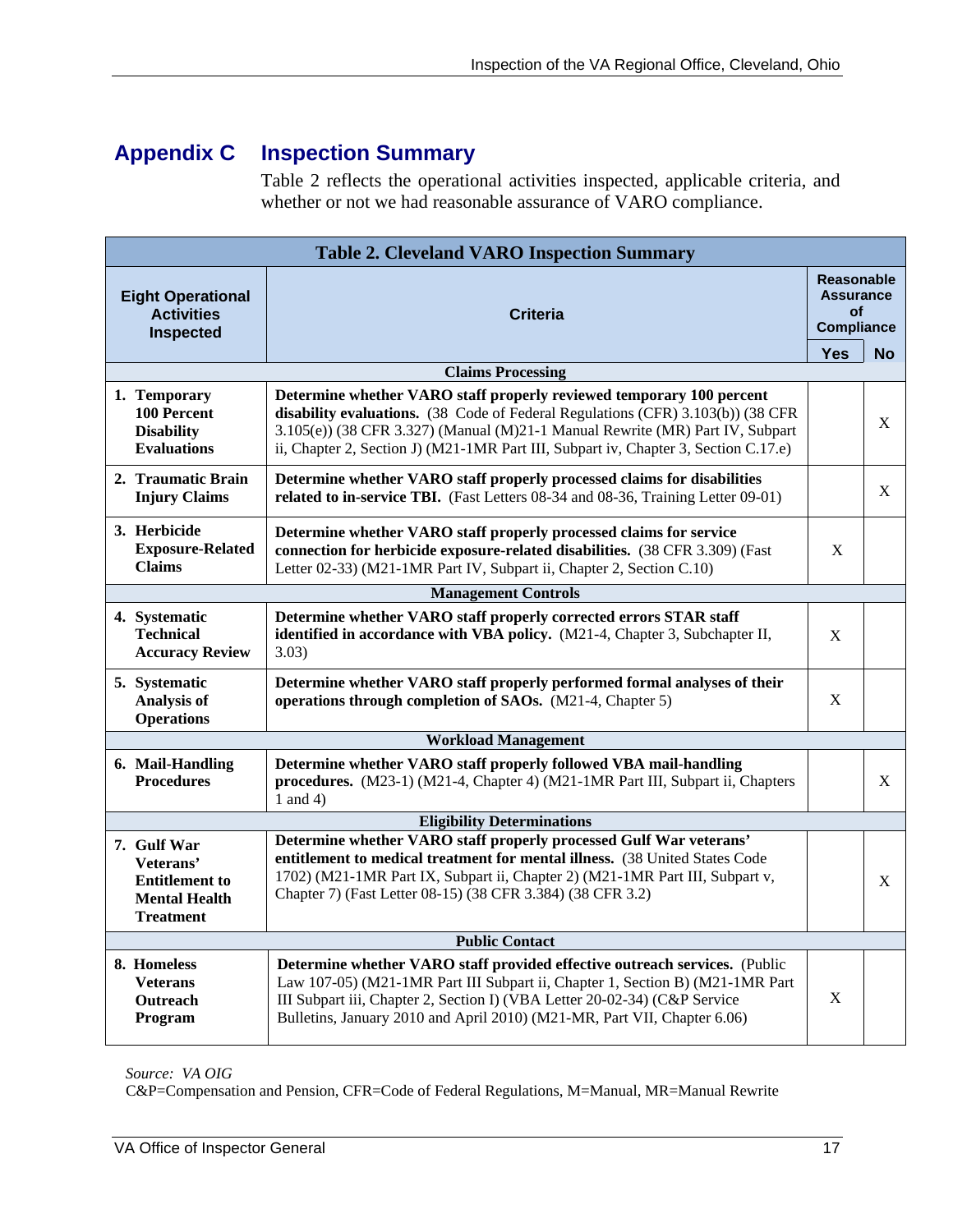### **Appendix C Inspection Summary**

Table 2 reflects the operational activities inspected, applicable criteria, and whether or not we had reasonable assurance of VARO compliance.

| <b>Table 2. Cleveland VARO Inspection Summary</b>                                                                                                  |                                                                                                                                                                                                                                                                                                                                 |            |           |  |  |
|----------------------------------------------------------------------------------------------------------------------------------------------------|---------------------------------------------------------------------------------------------------------------------------------------------------------------------------------------------------------------------------------------------------------------------------------------------------------------------------------|------------|-----------|--|--|
| <b>Reasonable</b><br><b>Assurance</b><br><b>Eight Operational</b><br><b>Activities</b><br><b>Criteria</b><br><b>Compliance</b><br><b>Inspected</b> |                                                                                                                                                                                                                                                                                                                                 |            |           |  |  |
|                                                                                                                                                    |                                                                                                                                                                                                                                                                                                                                 | <b>Yes</b> | <b>No</b> |  |  |
|                                                                                                                                                    | <b>Claims Processing</b>                                                                                                                                                                                                                                                                                                        |            |           |  |  |
| 1. Temporary<br><b>100 Percent</b><br><b>Disability</b><br><b>Evaluations</b>                                                                      | Determine whether VARO staff properly reviewed temporary 100 percent<br>disability evaluations. (38 Code of Federal Regulations (CFR) 3.103(b)) (38 CFR<br>3.105(e)) (38 CFR 3.327) (Manual (M)21-1 Manual Rewrite (MR) Part IV, Subpart<br>ii, Chapter 2, Section J) (M21-1MR Part III, Subpart iv, Chapter 3, Section C.17.e) |            | X         |  |  |
| 2. Traumatic Brain<br><b>Injury Claims</b>                                                                                                         | Determine whether VARO staff properly processed claims for disabilities<br>related to in-service TBI. (Fast Letters 08-34 and 08-36, Training Letter 09-01)                                                                                                                                                                     |            | X         |  |  |
| 3. Herbicide<br><b>Exposure-Related</b><br><b>Claims</b>                                                                                           | Determine whether VARO staff properly processed claims for service<br>connection for herbicide exposure-related disabilities. (38 CFR 3.309) (Fast<br>Letter 02-33) (M21-1MR Part IV, Subpart ii, Chapter 2, Section C.10)                                                                                                      | X          |           |  |  |
| <b>Management Controls</b>                                                                                                                         |                                                                                                                                                                                                                                                                                                                                 |            |           |  |  |
| 4. Systematic<br><b>Technical</b><br><b>Accuracy Review</b>                                                                                        | Determine whether VARO staff properly corrected errors STAR staff<br>identified in accordance with VBA policy. (M21-4, Chapter 3, Subchapter II,<br>3.03)                                                                                                                                                                       | X          |           |  |  |
| 5. Systematic<br><b>Analysis of</b><br><b>Operations</b>                                                                                           | Determine whether VARO staff properly performed formal analyses of their<br>operations through completion of SAOs. (M21-4, Chapter 5)                                                                                                                                                                                           | X          |           |  |  |
| <b>Workload Management</b>                                                                                                                         |                                                                                                                                                                                                                                                                                                                                 |            |           |  |  |
| 6. Mail-Handling<br><b>Procedures</b>                                                                                                              | Determine whether VARO staff properly followed VBA mail-handling<br>procedures. (M23-1) (M21-4, Chapter 4) (M21-1MR Part III, Subpart ii, Chapters<br>1 and 4)                                                                                                                                                                  |            | X         |  |  |
|                                                                                                                                                    | <b>Eligibility Determinations</b>                                                                                                                                                                                                                                                                                               |            |           |  |  |
| 7. Gulf War<br>Veterans'<br><b>Entitlement to</b><br><b>Mental Health</b><br><b>Treatment</b>                                                      | Determine whether VARO staff properly processed Gulf War veterans'<br>entitlement to medical treatment for mental illness. (38 United States Code<br>1702) (M21-1MR Part IX, Subpart ii, Chapter 2) (M21-1MR Part III, Subpart v,<br>Chapter 7) (Fast Letter 08-15) (38 CFR 3.384) (38 CFR 3.2)                                 |            | X         |  |  |
|                                                                                                                                                    | <b>Public Contact</b>                                                                                                                                                                                                                                                                                                           |            |           |  |  |
| 8. Homeless<br><b>Veterans</b><br><b>Outreach</b><br>Program                                                                                       | Determine whether VARO staff provided effective outreach services. (Public<br>Law 107-05) (M21-1MR Part III Subpart ii, Chapter 1, Section B) (M21-1MR Part<br>III Subpart iii, Chapter 2, Section I) (VBA Letter 20-02-34) (C&P Service<br>Bulletins, January 2010 and April 2010) (M21-MR, Part VII, Chapter 6.06)            | X          |           |  |  |

*Source: VA OIG*

C&P=Compensation and Pension, CFR=Code of Federal Regulations, M=Manual, MR=Manual Rewrite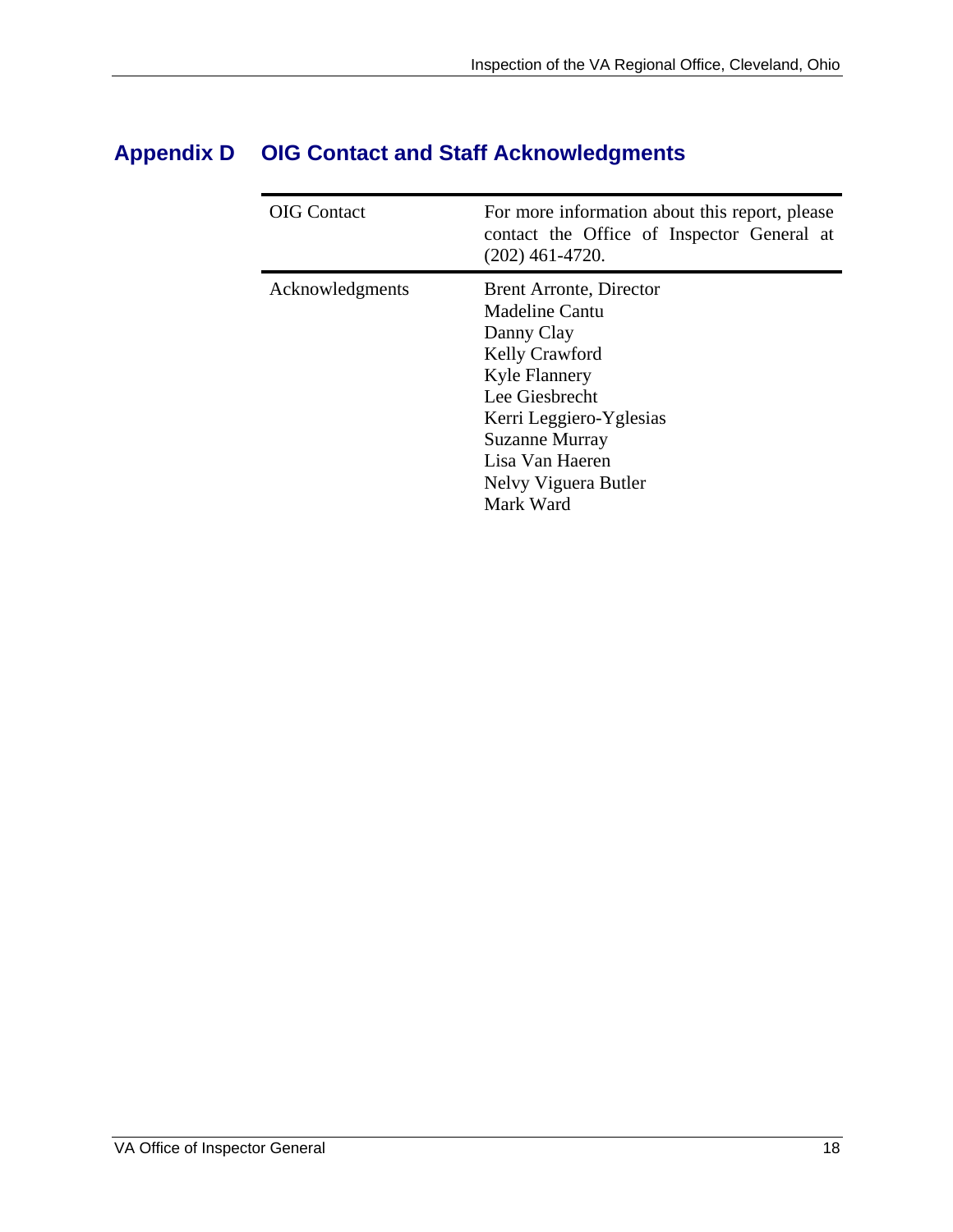| <b>OIG</b> Contact | For more information about this report, please<br>contact the Office of Inspector General at<br>$(202)$ 461-4720.                                                                                                                      |
|--------------------|----------------------------------------------------------------------------------------------------------------------------------------------------------------------------------------------------------------------------------------|
| Acknowledgments    | <b>Brent Arronte, Director</b><br>Madeline Cantu<br>Danny Clay<br>Kelly Crawford<br><b>Kyle Flannery</b><br>Lee Giesbrecht<br>Kerri Leggiero-Yglesias<br><b>Suzanne Murray</b><br>Lisa Van Haeren<br>Nelvy Viguera Butler<br>Mark Ward |

### **Appendix D OIG Contact and Staff Acknowledgments**